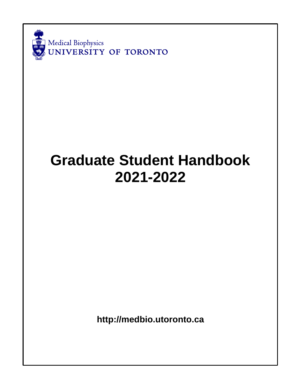

# **Graduate Student Handbook 2021-2022**

**[http://medbio.utoronto.ca](http://medbio.utoronto.ca/)**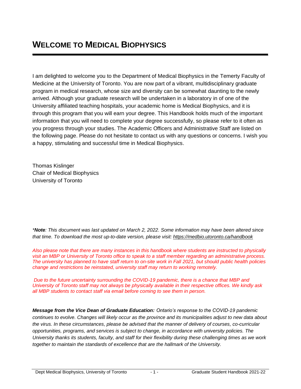I am delighted to welcome you to the Department of Medical Biophysics in the Temerty Faculty of Medicine at the University of Toronto. You are now part of a vibrant, multidisciplinary graduate program in medical research, whose size and diversity can be somewhat daunting to the newly arrived. Although your graduate research will be undertaken in a laboratory in of one of the University affiliated teaching hospitals, your academic home is Medical Biophysics, and it is through this program that you will earn your degree. This Handbook holds much of the important information that you will need to complete your degree successfully, so please refer to it often as you progress through your studies. The Academic Officers and Administrative Staff are listed on the following page. Please do not hesitate to contact us with any questions or concerns. I wish you a happy, stimulating and successful time in Medical Biophysics.

Thomas Kislinger Chair of Medical Biophysics University of Toronto

*\*Note: This document was last updated on March 2, 2022. Some information may have been altered since that time. To download the most up-to-date version, please visit:<https://medbio.utoronto.ca/handbook>*

*Also please note that there are many instances in this handbook where students are instructed to physically visit an MBP or University of Toronto office to speak to a staff member regarding an administrative process. The university has planned to have staff return to on-site work in Fall 2021, but should public health policies change and restrictions be reinstated, university staff may return to working remotely.*

*Due to the future uncertainty surrounding the COVID-19 pandemic, there is a chance that MBP and University of Toronto staff may not always be physically available in their respective offices. We kindly ask all MBP students to contact staff via email before coming to see them in person.*

*Message from the Vice Dean of Graduate Education: Ontario's response to the COVID-19 pandemic continues to evolve. Changes will likely occur as the province and its municipalities adjust to new data about the virus. In these circumstances, please be advised that the manner of delivery of courses, co-curricular opportunities, programs, and services is subject to change, in accordance with university policies. The University thanks its students, faculty, and staff for their flexibility during these challenging times as we work together to maintain the standards of excellence that are the hallmark of the University.*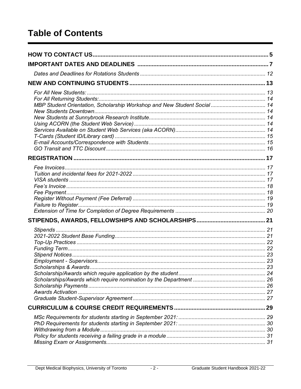# **Table of Contents**

| MBP Student Orientation, Scholarship Workshop and New Student Social 14 |  |
|-------------------------------------------------------------------------|--|
|                                                                         |  |
|                                                                         |  |
|                                                                         |  |
|                                                                         |  |
|                                                                         |  |
|                                                                         |  |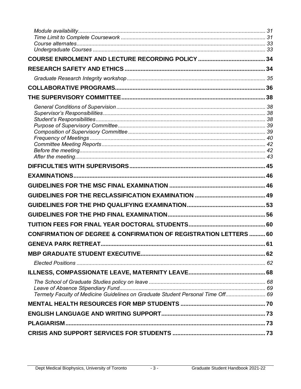| <b>CONFIRMATION OF DEGREE &amp; CONFIRMATION OF REGISTRATION LETTERS  60</b>    |  |
|---------------------------------------------------------------------------------|--|
|                                                                                 |  |
|                                                                                 |  |
|                                                                                 |  |
|                                                                                 |  |
| Termety Faculty of Medicine Guidelines on Graduate Student Personal Time Off 69 |  |
|                                                                                 |  |
|                                                                                 |  |
|                                                                                 |  |
|                                                                                 |  |
|                                                                                 |  |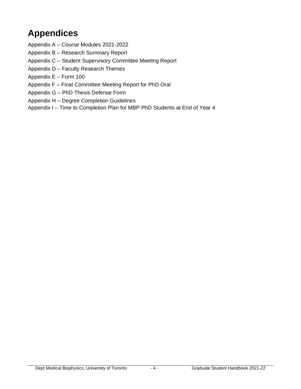# **Appendices**

- Appendix A Course Modules 2021-2022
- Appendix B Research Summary Report
- Appendix C Student Supervisory Committee Meeting Report
- Appendix D Faculty Research Themes
- Appendix E Form 100
- Appendix F Final Committee Meeting Report for PhD Oral
- Appendix G PhD Thesis Defense Form
- Appendix H Degree Completion Guidelines
- Appendix I Time to Completion Plan for MBP PhD Students at End of Year 4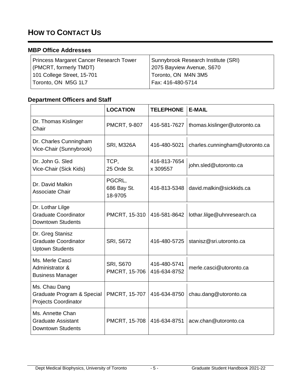# **HOW TO CONTACT US**

### **MBP Office Addresses**

| <b>Princess Margaret Cancer Research Tower</b> | Sunnybrook Research Institute (SRI) |
|------------------------------------------------|-------------------------------------|
| (PMCRT, formerly TMDT)                         | 2075 Bayview Avenue, S670           |
| 101 College Street, 15-701                     | Toronto, ON M4N 3M5                 |
| Toronto, ON M5G 1L7                            | Fax: 416-480-5714                   |

### **Department Officers and Staff**

|                                                                             | <b>LOCATION</b>                   | <b>TELEPHONE</b>             | <b>E-MAIL</b>                  |
|-----------------------------------------------------------------------------|-----------------------------------|------------------------------|--------------------------------|
| Dr. Thomas Kislinger<br>Chair                                               | PMCRT, 9-807                      | 416-581-7627                 | thomas.kislinger@utoronto.ca   |
| Dr. Charles Cunningham<br>Vice-Chair (Sunnybrook)                           | <b>SRI, M326A</b>                 | 416-480-5021                 | charles.cunningham@utoronto.ca |
| Dr. John G. Sled<br>Vice-Chair (Sick Kids)                                  | TCP,<br>25 Orde St.               | 416-813-7654<br>x 309557     | john.sled@utoronto.ca          |
| Dr. David Malkin<br>Associate Chair                                         | PGCRL,<br>686 Bay St.<br>18-9705  | 416-813-5348                 | david.malkin@sickkids.ca       |
| Dr. Lothar Lilge<br><b>Graduate Coordinator</b><br><b>Downtown Students</b> | PMCRT, 15-310                     | 416-581-8642                 | lothar.lilge@uhnresearch.ca    |
| Dr. Greg Stanisz<br><b>Graduate Coordinator</b><br><b>Uptown Students</b>   | <b>SRI, S672</b>                  | 416-480-5725                 | stanisz@sri.utoronto.ca        |
| Ms. Merle Casci<br>Administrator &<br><b>Business Manager</b>               | <b>SRI, S670</b><br>PMCRT, 15-706 | 416-480-5741<br>416-634-8752 | merle.casci@utoronto.ca        |
| Ms. Chau Dang<br>Graduate Program & Special<br><b>Projects Coordinator</b>  | PMCRT, 15-707                     | 416-634-8750                 | chau.dang@utoronto.ca          |
| Ms. Annette Chan<br><b>Graduate Assistant</b><br><b>Downtown Students</b>   | PMCRT, 15-708                     | 416-634-8751                 | acw.chan@utoronto.ca           |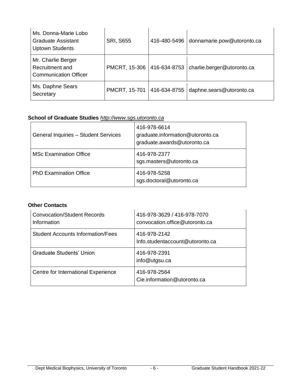| Ms. Donna-Marie Lobo<br><b>Graduate Assistant</b><br><b>Uptown Students</b> | <b>SRI, S655</b>     | 416-480-5496 | donnamarie.pow@utoronto.ca |
|-----------------------------------------------------------------------------|----------------------|--------------|----------------------------|
| Mr. Charlie Berger<br>Recruitment and<br><b>Communication Officer</b>       | <b>PMCRT, 15-306</b> | 416-634-8753 | charlie.berger@utoronto.ca |
| Ms. Daphne Sears<br>Secretary                                               | PMCRT, 15-701        | 416-634-8755 | daphne.sears@utoronto.ca   |

### **School of Graduate Studies** *http:/[/www.sgs.utoronto.ca](http://www.google.com/url?q=http%3A%2F%2Fwww.sgs.utoronto.ca&sa=D&sntz=1&usg=AFQjCNFyaGOqyMmpeoVrwW0snwEAcITKjw)*

| General Inquiries - Student Services | 416-978-6614<br>graduate.information@utoronto.ca<br>graduate.awards@utoronto.ca |
|--------------------------------------|---------------------------------------------------------------------------------|
| <b>MSc Examination Office</b>        | 416-978-2377<br>sgs.masters@utoronto.ca                                         |
| <b>PhD Examination Office</b>        | 416-978-5258<br>sgs.doctoral@utoronto.ca                                        |

### **Other Contacts**

| Convocation/Student Records<br>Information | 416-978-3629 / 416-978-7070<br>convocation.office@utoronto.ca |
|--------------------------------------------|---------------------------------------------------------------|
| Student Accounts Information/Fees          | 416-978-2142<br>Info.studentaccount@utoronto.ca               |
| Graduate Students' Union                   | 416-978-2391<br>info@utgsu.ca                                 |
| Centre for International Experience        | 416-978-2564<br>Cie.information@utoronto.ca                   |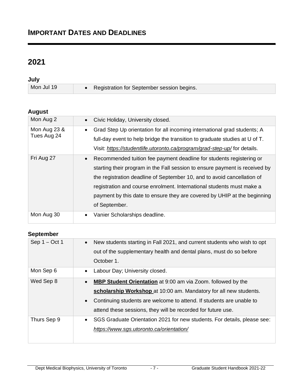### **IMPORTANT DATES AND DEADLINES**

## **2021**

**July**

Mon Jul 19 • Registration for September session begins.

### **August**

| Mon Aug 2                   | Civic Holiday, University closed.<br>$\bullet$                                                                                                                                                                                                                                                                                                                                                                    |
|-----------------------------|-------------------------------------------------------------------------------------------------------------------------------------------------------------------------------------------------------------------------------------------------------------------------------------------------------------------------------------------------------------------------------------------------------------------|
| Mon Aug 23 &<br>Tues Aug 24 | Grad Step Up orientation for all incoming international grad students; A<br>$\bullet$<br>full-day event to help bridge the transition to graduate studies at U of T.<br>Visit: https://studentlife.utoronto.ca/program/grad-step-up/for details.                                                                                                                                                                  |
| Fri Aug 27                  | Recommended tuition fee payment deadline for students registering or<br>$\bullet$<br>starting their program in the Fall session to ensure payment is received by<br>the registration deadline of September 10, and to avoid cancellation of<br>registration and course enrolment. International students must make a<br>payment by this date to ensure they are covered by UHIP at the beginning<br>of September. |
| Mon Aug 30                  | Vanier Scholarships deadline.<br>$\bullet$                                                                                                                                                                                                                                                                                                                                                                        |

### **September**

| Sep $1 - Oct 1$ | New students starting in Fall 2021, and current students who wish to opt<br>$\bullet$<br>out of the supplementary health and dental plans, must do so before<br>October 1.                                                                                                                                 |
|-----------------|------------------------------------------------------------------------------------------------------------------------------------------------------------------------------------------------------------------------------------------------------------------------------------------------------------|
| Mon Sep 6       | Labour Day; University closed.<br>$\bullet$                                                                                                                                                                                                                                                                |
| Wed Sep 8       | <b>MBP Student Orientation</b> at 9:00 am via Zoom. followed by the<br>$\bullet$<br>scholarship Workshop at 10:00 am. Mandatory for all new students.<br>Continuing students are welcome to attend. If students are unable to<br>$\bullet$<br>attend these sessions, they will be recorded for future use. |
| Thurs Sep 9     | SGS Graduate Orientation 2021 for new students. For details, please see:<br>$\bullet$<br>https://www.sgs.utoronto.ca/orientation/                                                                                                                                                                          |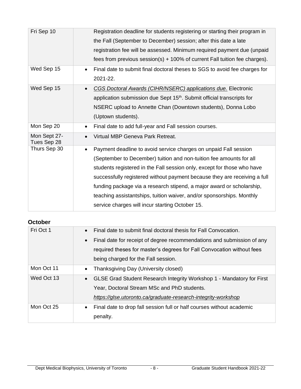| Fri Sep 10                  | Registration deadline for students registering or starting their program in<br>the Fall (September to December) session; after this date a late<br>registration fee will be assessed. Minimum required payment due (unpaid<br>fees from previous session(s) $+$ 100% of current Fall tuition fee charges).                                                                                                                                                                                                        |
|-----------------------------|-------------------------------------------------------------------------------------------------------------------------------------------------------------------------------------------------------------------------------------------------------------------------------------------------------------------------------------------------------------------------------------------------------------------------------------------------------------------------------------------------------------------|
| Wed Sep 15                  | Final date to submit final doctoral theses to SGS to avoid fee charges for<br>$\bullet$<br>2021-22.                                                                                                                                                                                                                                                                                                                                                                                                               |
| Wed Sep 15                  | CGS Doctoral Awards (CIHR/NSERC) applications due. Electronic<br>application submission due Sept 15 <sup>th</sup> . Submit official transcripts for<br>NSERC upload to Annette Chan (Downtown students), Donna Lobo<br>(Uptown students).                                                                                                                                                                                                                                                                         |
| Mon Sep 20                  | Final date to add full-year and Fall session courses.<br>$\bullet$                                                                                                                                                                                                                                                                                                                                                                                                                                                |
| Mon Sept 27-<br>Tues Sep 28 | Virtual MBP Geneva Park Retreat.<br>$\bullet$                                                                                                                                                                                                                                                                                                                                                                                                                                                                     |
| Thurs Sep 30                | Payment deadline to avoid service charges on unpaid Fall session<br>$\bullet$<br>(September to December) tuition and non-tuition fee amounts for all<br>students registered in the Fall session only, except for those who have<br>successfully registered without payment because they are receiving a full<br>funding package via a research stipend, a major award or scholarship,<br>teaching assistantships, tuition waiver, and/or sponsorships. Monthly<br>service charges will incur starting October 15. |

### **October**

| Fri Oct 1  | Final date to submit final doctoral thesis for Fall Convocation.<br>$\bullet$       |
|------------|-------------------------------------------------------------------------------------|
|            | Final date for receipt of degree recommendations and submission of any<br>$\bullet$ |
|            | required theses for master's degrees for Fall Convocation without fees              |
|            | being charged for the Fall session.                                                 |
| Mon Oct 11 | Thanksgiving Day (University closed)<br>$\bullet$                                   |
| Wed Oct 13 | GLSE Grad Student Research Integrity Workshop 1 - Mandatory for First<br>$\bullet$  |
|            | Year, Doctoral Stream MSc and PhD students.                                         |
|            | https://glse.utoronto.ca/graduate-research-integrity-workshop                       |
| Mon Oct 25 | Final date to drop fall session full or half courses without academic<br>$\bullet$  |
|            | penalty.                                                                            |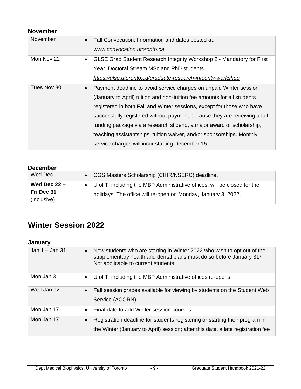### **November**

| November    | • Fall Convocation: Information and dates posted at:                               |
|-------------|------------------------------------------------------------------------------------|
|             | www.convocation.utoronto.ca                                                        |
| Mon Nov 22  | GLSE Grad Student Research Integrity Workshop 2 - Mandatory for First<br>$\bullet$ |
|             | Year, Doctoral Stream MSc and PhD students.                                        |
|             | https://glse.utoronto.ca/graduate-research-integrity-workshop                      |
| Tues Nov 30 | Payment deadline to avoid service charges on unpaid Winter session<br>$\bullet$    |
|             | (January to April) tuition and non-tuition fee amounts for all students            |
|             | registered in both Fall and Winter sessions, except for those who have             |
|             | successfully registered without payment because they are receiving a full          |
|             | funding package via a research stipend, a major award or scholarship,              |
|             | teaching assistantships, tuition waiver, and/or sponsorships. Monthly              |
|             | service charges will incur starting December 15.                                   |
|             |                                                                                    |

| <b>December</b> |                                                                            |
|-----------------|----------------------------------------------------------------------------|
| Wed Dec 1       | • CGS Masters Scholarship (CIHR/NSERC) deadline.                           |
| Wed Dec $22 -$  | • U of T, including the MBP Administrative offices, will be closed for the |
| Fri Dec 31      | holidays. The office will re-open on Monday, January 3, 2022.              |
| (inclusive)     |                                                                            |

# **Winter Session 2022**

### **January**

| Jan $1 -$ Jan 31 | New students who are starting in Winter 2022 who wish to opt out of the<br>$\bullet$<br>supplementary health and dental plans must do so before January 31 <sup>st</sup> .<br>Not applicable to current students. |
|------------------|-------------------------------------------------------------------------------------------------------------------------------------------------------------------------------------------------------------------|
| Mon Jan 3        | • U of T, including the MBP Administrative offices re-opens.                                                                                                                                                      |
| Wed Jan 12       | Fall session grades available for viewing by students on the Student Web<br>$\bullet$<br>Service (ACORN).                                                                                                         |
| Mon Jan 17       | Final date to add Winter session courses<br>$\bullet$                                                                                                                                                             |
| Mon Jan 17       | Registration deadline for students registering or starting their program in<br>$\bullet$<br>the Winter (January to April) session; after this date, a late registration fee                                       |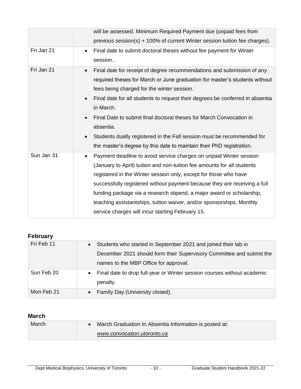| will be assessed. Minimum Required Payment due (unpaid fees from                           |
|--------------------------------------------------------------------------------------------|
| previous session(s) + 100% of current Winter session tuition fee charges).                 |
| Final date to submit doctoral theses without fee payment for Winter<br>$\bullet$           |
| session                                                                                    |
| Final date for receipt of degree recommendations and submission of any<br>$\bullet$        |
| required theses for March or June graduation for master's students without                 |
| fees being charged for the winter session.                                                 |
| Final date for all students to request their degrees be conferred in absentia<br>$\bullet$ |
| in March.                                                                                  |
| Final Date to submit final doctoral theses for March Convocation in<br>$\bullet$           |
| absentia.                                                                                  |
| Students dually registered in the Fall session must be recommended for<br>$\bullet$        |
| the master's degree by this date to maintain their PhD registration.                       |
| Payment deadline to avoid service charges on unpaid Winter session<br>$\bullet$            |
| (January to April) tuition and non-tuition fee amounts for all students                    |
| registered in the Winter session only, except for those who have                           |
| successfully registered without payment because they are receiving a full                  |
| funding package via a research stipend, a major award or scholarship,                      |
| teaching assistantships, tuition waiver, and/or sponsorships. Monthly                      |
| service charges will incur starting February 15.                                           |
|                                                                                            |

### **February**

| Fri Feb 11 | Students who started in September 2021 and joined their lab in<br>$\bullet$ |
|------------|-----------------------------------------------------------------------------|
|            | December 2021 should form their Supervisory Committee and submit the        |
|            | names to the MBP Office for approval.                                       |
| Sun Feb 20 | • Final date to drop full-year or Winter session courses without academic   |
|            | penalty.                                                                    |
| Mon Feb 21 | • Family Day (University closed).                                           |

### **March**

| March | March Graduation In Absentia Information is posted at: |
|-------|--------------------------------------------------------|
|       | www.convocation.utoronto.ca                            |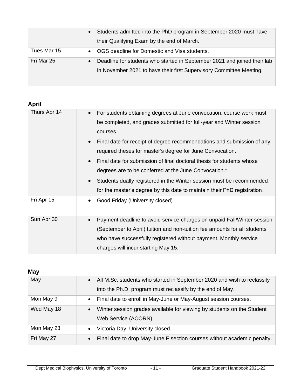| Students admitted into the PhD program in September 2020 must have<br>$\bullet$                                                                              |
|--------------------------------------------------------------------------------------------------------------------------------------------------------------|
| their Qualifying Exam by the end of March.                                                                                                                   |
| OGS deadline for Domestic and Visa students.<br>$\bullet$                                                                                                    |
| Deadline for students who started in September 2021 and joined their lab<br>$\bullet$<br>in November 2021 to have their first Supervisory Committee Meeting. |
|                                                                                                                                                              |

| ٠ |
|---|

| . .p.        |                                                                                                                                                                                                                                                                                                                                                                                                                                                                                                                                                                                                                                           |
|--------------|-------------------------------------------------------------------------------------------------------------------------------------------------------------------------------------------------------------------------------------------------------------------------------------------------------------------------------------------------------------------------------------------------------------------------------------------------------------------------------------------------------------------------------------------------------------------------------------------------------------------------------------------|
| Thurs Apr 14 | For students obtaining degrees at June convocation, course work must<br>$\bullet$<br>be completed, and grades submitted for full-year and Winter session<br>courses.<br>Final date for receipt of degree recommendations and submission of any<br>$\bullet$<br>required theses for master's degree for June Convocation.<br>Final date for submission of final doctoral thesis for students whose<br>$\bullet$<br>degrees are to be conferred at the June Convocation.*<br>Students dually registered in the Winter session must be recommended.<br>$\bullet$<br>for the master's degree by this date to maintain their PhD registration. |
| Fri Apr 15   | Good Friday (University closed)<br>$\bullet$                                                                                                                                                                                                                                                                                                                                                                                                                                                                                                                                                                                              |
| Sun Apr 30   | Payment deadline to avoid service charges on unpaid Fall/Winter session<br>$\bullet$<br>(September to April) tuition and non-tuition fee amounts for all students<br>who have successfully registered without payment. Monthly service<br>charges will incur starting May 15.                                                                                                                                                                                                                                                                                                                                                             |

### **May**

| May        | All M.Sc. students who started in September 2020 and wish to reclassify<br>$\bullet$ |
|------------|--------------------------------------------------------------------------------------|
|            | into the Ph.D. program must reclassify by the end of May.                            |
| Mon May 9  | Final date to enroll in May-June or May-August session courses.<br>$\bullet$         |
| Wed May 18 | Winter session grades available for viewing by students on the Student<br>$\bullet$  |
|            | Web Service (ACORN).                                                                 |
| Mon May 23 | Victoria Day, University closed.<br>$\bullet$                                        |
| Fri May 27 | Final date to drop May-June F section courses without academic penalty.<br>$\bullet$ |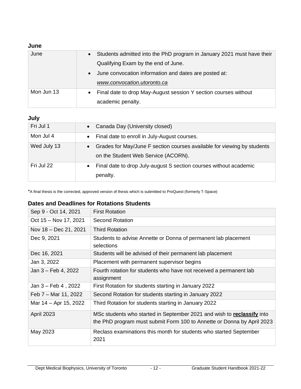### **June**

| June       | Students admitted into the PhD program in January 2021 must have their<br>$\bullet$ |
|------------|-------------------------------------------------------------------------------------|
|            | Qualifying Exam by the end of June.                                                 |
|            | June convocation information and dates are posted at:<br>$\bullet$                  |
|            | www.convocation.utoronto.ca                                                         |
| Mon Jun 13 | Final date to drop May-August session Y section courses without<br>$\bullet$        |
|            | academic penalty.                                                                   |

### **July**

| Fri Jul 1   | Canada Day (University closed)<br>$\bullet$                                                                                 |
|-------------|-----------------------------------------------------------------------------------------------------------------------------|
| Mon Jul 4   | Final date to enroll in July-August courses.<br>$\bullet$                                                                   |
| Wed July 13 | Grades for May/June F section courses available for viewing by students<br>$\bullet$<br>on the Student Web Service (ACORN). |
| Fri Jul 22  | Final date to drop July-august S section courses without academic<br>$\bullet$<br>penalty.                                  |

\*A final thesis is the corrected, approved version of thesis which is submitted to ProQuest (formerly T-Space)

### **Dates and Deadlines for Rotations Students**

| Sep 9 - Oct 14, 2021  | <b>First Rotation</b>                                                                                                                            |
|-----------------------|--------------------------------------------------------------------------------------------------------------------------------------------------|
| Oct 15 - Nov 17, 2021 | <b>Second Rotation</b>                                                                                                                           |
| Nov 18 - Dec 21, 2021 | <b>Third Rotation</b>                                                                                                                            |
| Dec 9, 2021           | Students to advise Annette or Donna of permanent lab placement<br>selections                                                                     |
| Dec 16, 2021          | Students will be advised of their permanent lab placement                                                                                        |
| Jan 3, 2022           | Placement with permanent supervisor begins                                                                                                       |
| Jan 3 - Feb 4, 2022   | Fourth rotation for students who have not received a permanent lab<br>assignment                                                                 |
| Jan 3 – Feb 4, 2022   | First Rotation for students starting in January 2022                                                                                             |
| Feb 7 – Mar 11, 2022  | Second Rotation for students starting in January 2022                                                                                            |
| Mar 14 – Apr 15, 2022 | Third Rotation for students starting in January 2022                                                                                             |
| <b>April 2023</b>     | MSc students who started in September 2021 and wish to reclassify into<br>the PhD program must submit Form 100 to Annette or Donna by April 2023 |
| May 2023              | Reclass examinations this month for students who started September<br>2021                                                                       |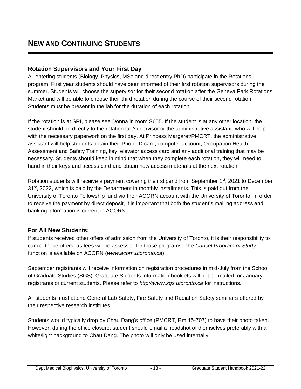### **Rotation Supervisors and Your First Day**

All entering students (Biology, Physics, MSc and direct entry PhD) participate in the Rotations program. First year students should have been informed of their first rotation supervisors during the summer. Students will choose the supervisor for their second rotation after the Geneva Park Rotations Market and will be able to choose their third rotation during the course of their second rotation. Students must be present in the lab for the duration of each rotation.

If the rotation is at SRI, please see Donna in room S655. If the student is at any other location, the student should go directly to the rotation lab/supervisor or the administrative assistant, who will help with the necessary paperwork on the first day. At Princess Margaret/PMCRT, the administrative assistant will help students obtain their Photo ID card, computer account, Occupation Health Assessment and Safety Training, key, elevator access card and any additional training that may be necessary. Students should keep in mind that when they complete each rotation, they will need to hand in their keys and access card and obtain new access materials at the next rotation.

Rotation students will receive a payment covering their stipend from September 1<sup>st</sup>, 2021 to December  $31<sup>st</sup>$ , 2022, which is paid by the Department in monthly installments. This is paid out from the University of Toronto Fellowship fund via their ACORN account with the University of Toronto. In order to receive the payment by direct deposit, it is important that both the student's mailing address and banking information is current in ACORN.

### **For All New Students:**

If students received other offers of admission from the University of Toronto, it is their responsibility to cancel those offers, as fees will be assessed for those programs. The *Cancel Program of Study* function is available on ACORN (*[www.acorn.utoronto.ca](http://www.acorn.utoronto.ca/)*).

September registrants will receive information on registration procedures in mid-July from the School of Graduate Studies (SGS). Graduate Students Information booklets will not be mailed for January registrants or current students. Please refer to *[http://www.sgs.utoronto.ca](http://www.google.com/url?q=http%3A%2F%2Fwww.sgs.utoronto.ca&sa=D&sntz=1&usg=AFQjCNFyaGOqyMmpeoVrwW0snwEAcITKjw)* for instructions.

All students must attend General Lab Safety, Fire Safety and Radiation Safety seminars offered by their respective research institutes.

Students would typically drop by Chau Dang's office (PMCRT, Rm 15-707) to have their photo taken. However, during the office closure, student should email a headshot of themselves preferably with a white/light background to Chau Dang. The photo will only be used internally.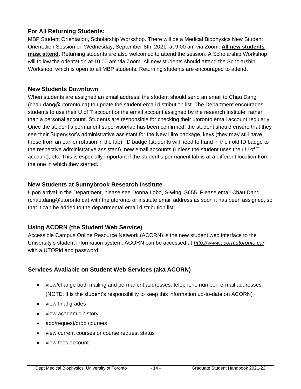### **For All Returning Students:**

MBP Student Orientation, Scholarship Workshop. There will be a Medical Biophysics New Student Orientation Session on Wednesday, September 8th, 2021, at 9:00 am via Zoom. **All new students must attend**. Returning students are also welcomed to attend the session. A Scholarship Workshop will follow the orientation at 10:00 am via Zoom. All new students should attend the Scholarship Workshop, which is open to all MBP students. Returning students are encouraged to attend.

### **New Students Downtown**

When students are assigned an email address, the student should send an email to Chau Dang (chau.dang@utoronto.ca) to update the student email distribution list. The Department encourages students to use their U of T account or the email account assigned by the research institute, rather than a personal account. Students are responsible for checking their utoronto email account regularly. Once the student's permanent supervisor/lab has been confirmed, the student should ensure that they see their Supervisor's administrative assistant for the New Hire package, keys (they may still have these from an earlier rotation in the lab), ID badge (students will need to hand in their old ID badge to the respective administrative assistant), new email accounts (unless the student uses their U of T account), etc. This is especially important if the student's permanent lab is at a different location from the one in which they started.

### **New Students at Sunnybrook Research Institute**

Upon arrival in the Department, please see Donna Lobo, S-wing, S655. Please email Chau Dang (chau.dang@utoronto.ca) with the utoronto or institute email address as soon it has been assigned, so that it can be added to the departmental email distribution list.

### **Using ACORN (the Student Web Service)**

Accessible Campus Online Resource Network (ACORN) is the new student web interface to the University's student information system. ACORN can be accessed at *<http://www.acorn.utoronto.ca/>* with a UTORid and password.

### **Services Available on Student Web Services (aka ACORN)**

- view/change both mailing and permanent addresses, telephone number, e-mail addresses (NOTE: It is the student's responsibility to keep this information up-to-date on ACORN)
- view final grades
- view academic history
- add/request/drop courses
- view current courses or course request status
- view fees account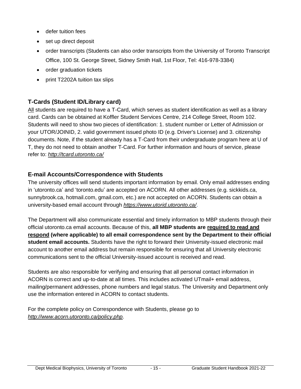- defer tuition fees
- set up direct deposit
- order transcripts (Students can also order transcripts from the University of Toronto Transcript Office, 100 St. George Street, Sidney Smith Hall, 1st Floor, Tel: 416-978-3384)
- order graduation tickets
- print T2202A tuition tax slips

### **T-Cards (Student ID/Library card)**

All students are required to have a T-Card, which serves as student identification as well as a library card. Cards can be obtained at Koffler Student Services Centre, 214 College Street, Room 102. Students will need to show two pieces of identification: 1. student number or Letter of Admission or your UTOR/JOINID, 2. valid government issued photo ID (e.g. Driver's License) and 3. citizenship documents. Note, if the student already has a T-Card from their undergraduate program here at U of T, they do not need to obtain another T-Card. For further information and hours of service, please refer to: *<http://tcard.utoronto.ca/>*

### **E-mail Accounts/Correspondence with Students**

The university offices will send students important information by email. Only email addresses ending in 'utoronto.ca' and 'toronto.edu' are accepted on ACORN. All other addresses (e.g. sickkids.ca, sunnybrook.ca, hotmail.com, gmail.com, etc.) are not accepted on ACORN. Students can obtain a university-based email account through *[https://www.utorid.utoronto.ca/](http://www.google.com/url?q=https%3A%2F%2Fwww.utorid.utoronto.ca%2F&sa=D&sntz=1&usg=AFQjCNEqmNl9PNDl4ZckGWH410FrE_TXWw)*.

The Department will also communicate essential and timely information to MBP students through their official utoronto.ca email accounts. Because of this, **all MBP students are required to read and respond (where applicable) to all email correspondence sent by the Department to their official student email accounts.** Students have the right to forward their University-issued electronic mail account to another email address but remain responsible for ensuring that all University electronic communications sent to the official University-issued account is received and read.

Students are also responsible for verifying and ensuring that all personal contact information in ACORN is correct and up-to-date at all times. This includes activated UTmail+ email address, mailing/permanent addresses, phone numbers and legal status. The University and Department only use the information entered in ACORN to contact students.

For the complete policy on Correspondence with Students, please go to *<http://www.acorn.utoronto.ca/policy.php>*.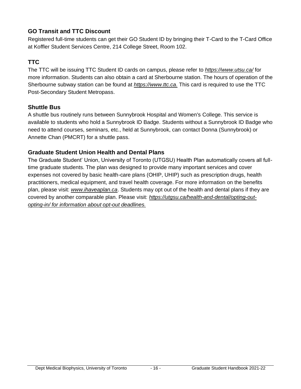### **GO Transit and TTC Discount**

Registered full-time students can get their GO Student ID by bringing their T-Card to the T-Card Office at Koffler Student Services Centre, 214 College Street, Room 102.

### **TTC**

The TTC will be issuing TTC Student ID cards on campus, please refer to *<https://www.utsu.ca/>* for more information. Students can also obtain a card at Sherbourne station. The hours of operation of the Sherbourne subway station can be found at *[https://www.ttc.ca.](https://www.ttc.ca/)* This card is required to use the TTC Post-Secondary Student Metropass.

### **Shuttle Bus**

A shuttle bus routinely runs between Sunnybrook Hospital and Women's College. This service is available to students who hold a Sunnybrook ID Badge. Students without a Sunnybrook ID Badge who need to attend courses, seminars, etc., held at Sunnybrook, can contact Donna (Sunnybrook) or Annette Chan (PMCRT) for a shuttle pass.

### **Graduate Student Union Health and Dental Plans**

The Graduate Student' Union, University of Toronto (UTGSU) Health Plan automatically covers all fulltime graduate students. The plan was designed to provide many important services and cover expenses not covered by basic health-care plans (OHIP, UHIP) such as prescription drugs, health practitioners, medical equipment, and travel health coverage. For more information on the benefits plan, please visit: *[www.ihaveaplan.ca](http://www.ihaveaplan.ca/)*. Students may opt out of the health and dental plans if they are covered by another comparable plan. Please visit: *https://utgsu.ca/health-and-dental/opting-outopting-in/ for information about opt-out deadlines.*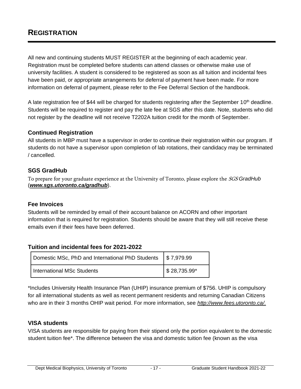All new and continuing students MUST REGISTER at the beginning of each academic year. Registration must be completed before students can attend classes or otherwise make use of university facilities. A student is considered to be registered as soon as all tuition and incidental fees have been paid, or appropriate arrangements for deferral of payment have been made. For more information on deferral of payment, please refer to the Fee Deferral Section of the handbook.

A late registration fee of \$44 will be charged for students registering after the September 10<sup>th</sup> deadline. Students will be required to register and pay the late fee at SGS after this date. Note, students who did not register by the deadline will not receive T2202A tuition credit for the month of September.

### **Continued Registration**

All students in MBP must have a supervisor in order to continue their registration within our program. If students do not have a supervisor upon completion of lab rotations, their candidacy may be terminated / cancelled.

### **SGS GradHub**

To prepare for your graduate experience at the University of Toronto, please explore the SGS *GradHub*  (*<www.sgs.utoronto.ca/gradhub>*).

#### **Fee Invoices**

Students will be reminded by email of their account balance on ACORN and other important information that is required for registration. Students should be aware that they will still receive these emails even if their fees have been deferred.

### **Tuition and incidental fees for 2021-2022**

| Domestic MSc, PhD and International PhD Students   \$7,979.99 |                             |
|---------------------------------------------------------------|-----------------------------|
| International MSc Students                                    | $\frac{1}{2}$ \$ 28,735.99* |

\*Includes University Health Insurance Plan (UHIP) insurance premium of \$756. UHIP is compulsory for all international students as well as recent permanent residents and returning Canadian Citizens who are in their 3 months OHIP wait period. For more information, see *[http://www.fees.utoronto.ca/.](http://www.fees.utoronto.ca/)*

#### **VISA students**

VISA students are responsible for paying from their stipend only the portion equivalent to the domestic student tuition fee\*. The difference between the visa and domestic tuition fee (known as the visa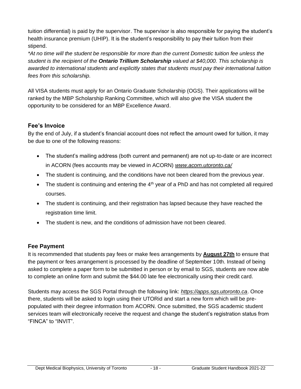tuition differential) is paid by the supervisor. The supervisor is also responsible for paying the student's health insurance premium (UHIP). It is the student's responsibility to pay their tuition from their stipend.

*\*At no time will the student be responsible for more than the current Domestic tuition fee unless the student is the recipient of the Ontario Trillium Scholarship valued at \$40,000. This scholarship is awarded to international students and explicitly states that students must pay their international tuition fees from this scholarship.*

All VISA students must apply for an Ontario Graduate Scholarship (OGS). Their applications will be ranked by the MBP Scholarship Ranking Committee, which will also give the VISA student the opportunity to be considered for an MBP Excellence Award.

### **Fee's Invoice**

By the end of July, if a student's financial account does not reflect the amount owed for tuition, it may be due to one of the following reasons:

- The student's mailing address (both current and permanent) are not up-to-date or are incorrect in ACORN (fees accounts may be viewed in ACORN) *[www.acorn.utoronto.ca/](http://www.acorn.utoronto.ca/)*
- The student is continuing, and the conditions have not been cleared from the previous year.
- The student is continuing and entering the  $4<sup>th</sup>$  year of a PhD and has not completed all required courses.
- The student is continuing, and their registration has lapsed because they have reached the registration time limit.
- The student is new, and the conditions of admission have not been cleared.

### **Fee Payment**

It is recommended that students pay fees or make fees arrangements by **August 27th** to ensure that the payment or fees arrangement is processed by the deadline of September 10th. Instead of being asked to complete a paper form to be submitted in person or by email to SGS, students are now able to complete an online form and submit the \$44.00 late fee electronically using their credit card.

Students may access the SGS Portal through the following link: *[https://apps.sgs.utoronto.ca](https://apps.sgs.utoronto.ca/)*. Once there, students will be asked to login using their UTORid and start a new form which will be prepopulated with their degree information from ACORN. Once submitted, the SGS academic student services team will electronically receive the request and change the student's registration status from "FINCA" to "INVIT".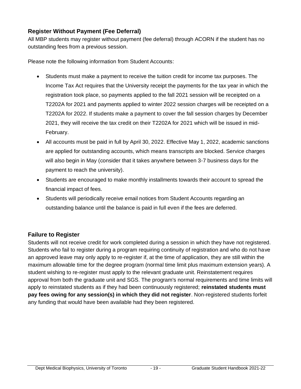### **Register Without Payment (Fee Deferral)**

All MBP students may register without payment (fee deferral) through ACORN if the student has no outstanding fees from a previous session.

Please note the following information from Student Accounts:

- Students must make a payment to receive the tuition credit for income tax purposes. The Income Tax Act requires that the University receipt the payments for the tax year in which the registration took place, so payments applied to the fall 2021 session will be receipted on a T2202A for 2021 and payments applied to winter 2022 session charges will be receipted on a T2202A for 2022. If students make a payment to cover the fall session charges by December 2021, they will receive the tax credit on their T2202A for 2021 which will be issued in mid-February.
- All accounts must be paid in full by April 30, 2022. Effective May 1, 2022, academic sanctions are applied for outstanding accounts, which means transcripts are blocked. Service charges will also begin in May (consider that it takes anywhere between 3-7 business days for the payment to reach the university).
- Students are encouraged to make monthly installments towards their account to spread the financial impact of fees.
- Students will periodically receive email notices from Student Accounts regarding an outstanding balance until the balance is paid in full even if the fees are deferred.

### **Failure to Register**

Students will not receive credit for work completed during a session in which they have not registered. Students who fail to register during a program requiring continuity of registration and who do not have an approved leave may only apply to re-register if, at the time of application, they are still within the maximum allowable time for the degree program (normal time limit plus maximum extension years). A student wishing to re-register must apply to the relevant graduate unit. Reinstatement requires approval from both the graduate unit and SGS. The program's normal requirements and time limits will apply to reinstated students as if they had been continuously registered; **reinstated students must pay fees owing for any session(s) in which they did not register**. Non-registered students forfeit any funding that would have been available had they been registered.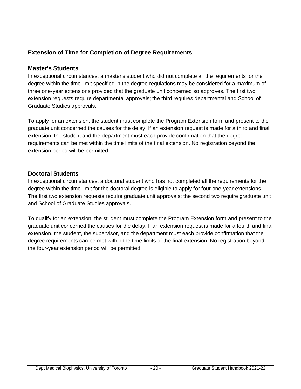### **Extension of Time for Completion of Degree Requirements**

### **Master's Students**

In exceptional circumstances, a master's student who did not complete all the requirements for the degree within the time limit specified in the degree regulations may be considered for a maximum of three one-year extensions provided that the graduate unit concerned so approves. The first two extension requests require departmental approvals; the third requires departmental and School of Graduate Studies approvals.

To apply for an extension, the student must complete the Program Extension form and present to the graduate unit concerned the causes for the delay. If an extension request is made for a third and final extension, the student and the department must each provide confirmation that the degree requirements can be met within the time limits of the final extension. No registration beyond the extension period will be permitted.

### **Doctoral Students**

In exceptional circumstances, a doctoral student who has not completed all the requirements for the degree within the time limit for the doctoral degree is eligible to apply for four one-year extensions. The first two extension requests require graduate unit approvals; the second two require graduate unit and School of Graduate Studies approvals.

To qualify for an extension, the student must complete the Program Extension form and present to the graduate unit concerned the causes for the delay. If an extension request is made for a fourth and final extension, the student, the supervisor, and the department must each provide confirmation that the degree requirements can be met within the time limits of the final extension. No registration beyond the four-year extension period will be permitted.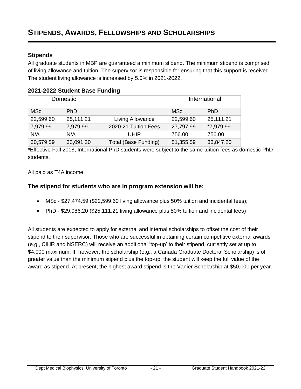### **Stipends**

All graduate students in MBP are guaranteed a minimum stipend. The minimum stipend is comprised of living allowance and tuition. The supervisor is responsible for ensuring that this support is received. The student living allowance is increased by 5.0% in 2021-2022.

### **2021-2022 Student Base Funding**

| Domestic   |            |                      | International |            |
|------------|------------|----------------------|---------------|------------|
| <b>MSc</b> | <b>PhD</b> |                      | <b>MSc</b>    | <b>PhD</b> |
| 22,599.60  | 25,111.21  | Living Allowance     | 22,599.60     | 25,111.21  |
| 7,979.99   | 7,979.99   | 2020-21 Tuition Fees | 27,797.99     | *7,979.99  |
| N/A        | N/A        | UHIP                 | 756.00        | 756.00     |
| 30,579.59  | 33,091.20  | Total (Base Funding) | 51,355.59     | 33,847.20  |

\*Effective Fall 2018, International PhD students were subject to the same tuition fees as domestic PhD students.

All paid as T4A income.

### **The stipend for students who are in program extension will be:**

- MSc \$27,474.59 (\$22,599.60 living allowance plus 50% tuition and incidental fees);
- PhD \$29,986.20 (\$25,111.21 living allowance plus 50% tuition and incidental fees)

All students are expected to apply for external and internal scholarships to offset the cost of their stipend to their supervisor. Those who are successful in obtaining certain competitive external awards (e.g., CIHR and NSERC) will receive an additional 'top-up' to their stipend, currently set at up to \$4,000 maximum. If, however, the scholarship (e.g., a Canada Graduate Doctoral Scholarship) is of greater value than the minimum stipend plus the top-up, the student will keep the full value of the award as stipend. At present, the highest award stipend is the Vanier Scholarship at \$50,000 per year.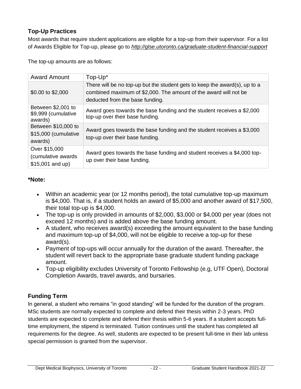### **Top-Up Practices**

Most awards that require student applications are eligible for a top-up from their supervisor. For a list of Awards Eligible for Top-up, please go to *<http://glse.utoronto.ca/graduate-student-financial-support>*

The top-up amounts are as follows:

| <b>Award Amount</b>                                      | Top-Up*                                                                                                                                                                           |
|----------------------------------------------------------|-----------------------------------------------------------------------------------------------------------------------------------------------------------------------------------|
| \$0.00 to \$2,000                                        | There will be no top-up but the student gets to keep the award(s), up to a<br>combined maximum of \$2,000. The amount of the award will not be<br>deducted from the base funding. |
| Between \$2,001 to<br>\$9,999 (cumulative<br>awards)     | Award goes towards the base funding and the student receives a \$2,000<br>top-up over their base funding.                                                                         |
| Between \$10,000 to<br>\$15,000 (cumulative<br>awards)   | Award goes towards the base funding and the student receives a \$3,000<br>top-up over their base funding.                                                                         |
| Over \$15,000<br>(cumulative awards<br>$$15,001$ and up) | Award goes towards the base funding and student receives a \$4,000 top-<br>up over their base funding.                                                                            |

### **\*Note:**

- Within an academic year (or 12 months period), the total cumulative top-up maximum is \$4,000. That is, if a student holds an award of \$5,000 and another award of \$17,500, their total top-up is \$4,000.
- The top-up is only provided in amounts of \$2,000, \$3,000 or \$4,000 per year (does not exceed 12 months) and is added above the base funding amount.
- A student, who receives award(s) exceeding the amount equivalent to the base funding and maximum top-up of \$4,000, will not be eligible to receive a top-up for these award(s).
- Payment of top-ups will occur annually for the duration of the award. Thereafter, the student will revert back to the appropriate base graduate student funding package amount.
- Top-up eligibility excludes University of Toronto Fellowship (e.g, UTF Open), Doctoral Completion Awards, travel awards, and bursaries.

### **Funding Term**

In general, a student who remains "in good standing" will be funded for the duration of the program. MSc students are normally expected to complete and defend their thesis within 2-3 years. PhD students are expected to complete and defend their thesis within 5-6 years. If a student accepts fulltime employment, the stipend is terminated. Tuition continues until the student has completed all requirements for the degree. As well, students are expected to be present full-time in their lab unless special permission is granted from the supervisor.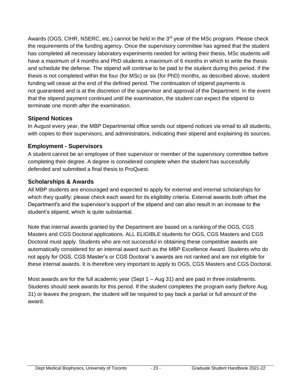Awards (OGS, CIHR, NSERC, etc.) cannot be held in the  $3<sup>rd</sup>$  year of the MSc program. Please check the requirements of the funding agency. Once the supervisory committee has agreed that the student has completed all necessary laboratory experiments needed for writing their thesis, MSc students will have a maximum of 4 months and PhD students a maximum of 6 months in which to write the thesis and schedule the defense. The stipend will continue to be paid to the student during this period. If the thesis is not completed within the four (for MSc) or six (for PhD) months, as described above, student funding will cease at the end of the defined period. The continuation of stipend payments is not guaranteed and is at the discretion of the supervisor and approval of the Department. In the event that the stipend payment continued until the examination, the student can expect the stipend to terminate one month after the examination.

### **Stipend Notices**

In August every year, the MBP Departmental office sends out stipend notices via email to all students, with copies to their supervisors, and administrators, indicating their stipend and explaining its sources.

### **Employment - Supervisors**

A student cannot be an employee of their supervisor or member of the supervisory committee before completing their degree. A degree is considered complete when the student has successfully defended and submitted a final thesis to ProQuest.

### **Scholarships & Awards**

All MBP students are encouraged and expected to apply for external and internal scholarships for which they qualify: please check each award for its eligibility criteria. External awards both offset the Department's and the supervisor's support of the stipend and can also result in an increase to the student's stipend, which is quite substantial.

Note that internal awards granted by the Department are based on a ranking of the OGS, CGS Masters and CGS Doctoral applications. ALL ELIGIBLE students for OGS, CGS Masters and CGS Doctoral must apply. Students who are not successful in obtaining these competitive awards are automatically considered for an internal award such as the MBP Excellence Award. Students who do not apply for OGS, CGS Master's or CGS Doctoral 's awards are not ranked and are not eligible for these internal awards. It is therefore very important to apply to OGS, CGS Masters and CGS Doctoral.

Most awards are for the full academic year (Sept  $1 - Aug 31$ ) and are paid in three installments. Students should seek awards for this period. If the student completes the program early (before Aug. 31) or leaves the program, the student will be required to pay back a partial or full amount of the award.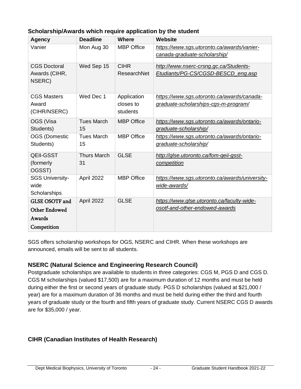| <b>Agency</b>          | <b>Deadline</b>    | <b>Where</b>      | <b>Website</b>                                 |
|------------------------|--------------------|-------------------|------------------------------------------------|
| Vanier                 | Mon Aug 30         | <b>MBP</b> Office | https://www.sgs.utoronto.ca/awards/vanier-     |
|                        |                    |                   | canada-graduate-scholarship/                   |
| <b>CGS Doctoral</b>    | Wed Sep 15         | <b>CIHR</b>       | http://www.nserc-crsng.gc.ca/Students-         |
| Awards (CIHR,          |                    | ResearchNet       | Etudiants/PG-CS/CGSD-BESCD_eng.asp             |
| NSERC)                 |                    |                   |                                                |
| <b>CGS Masters</b>     | Wed Dec 1          | Application       | https://www.sgs.utoronto.ca/awards/canada-     |
| Award                  |                    | closes to         | graduate-scholarships-cgs-m-program/           |
| (CIHR/NSERC)           |                    | students          |                                                |
| OGS (Visa              | <b>Tues March</b>  | <b>MBP Office</b> | https://www.sgs.utoronto.ca/awards/ontario-    |
| Students)              | 15                 |                   | graduate-scholarship/                          |
| <b>OGS (Domestic</b>   | <b>Tues March</b>  | <b>MBP Office</b> | https://www.sgs.utoronto.ca/awards/ontario-    |
| Students)              | 15                 |                   | graduate-scholarship/                          |
| <b>QEII-GSST</b>       | <b>Thurs March</b> | <b>GLSE</b>       | http://glse.utoronto.ca/fom-qeii-gsst-         |
| (formerly              | 31                 |                   | competition                                    |
| OGSST)                 |                    |                   |                                                |
| <b>SGS University-</b> | April 2022         | <b>MBP Office</b> | https://www.sgs.utoronto.ca/awards/university- |
| wide                   |                    |                   | wide-awards/                                   |
| Scholarships           |                    |                   |                                                |
| <b>GLSE OSOTF and</b>  | April 2022         | <b>GLSE</b>       | https://www.glse.utoronto.ca/faculty-wide-     |
| <b>Other Endowed</b>   |                    |                   | osotf-and-other-endowed-awards                 |
| Awards                 |                    |                   |                                                |
| Competition            |                    |                   |                                                |

### **Scholarship/Awards which require application by the student**

SGS offers scholarship workshops for OGS, NSERC and CIHR. When these workshops are announced, emails will be sent to all students.

### **NSERC (Natural Science and Engineering Research Council)**

Postgraduate scholarships are available to students in three categories: CGS M, PGS D and CGS D. CGS M scholarships (valued \$17,500) are for a maximum duration of 12 months and must be held during either the first or second years of graduate study. PGS D scholarships (valued at \$21,000 / year) are for a maximum duration of 36 months and must be held during either the third and fourth years of graduate study or the fourth and fifth years of graduate study. Current NSERC CGS D awards are for \$35,000 / year.

### **CIHR (Canadian Institutes of Health Research)**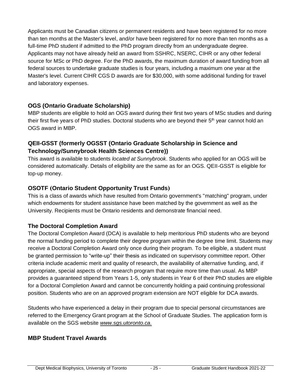Applicants must be Canadian citizens or permanent residents and have been registered for no more than ten months at the Master's level, and/or have been registered for no more than ten months as a full-time PhD student if admitted to the PhD program directly from an undergraduate degree. Applicants may not have already held an award from SSHRC, NSERC, CIHR or any other federal source for MSc or PhD degree. For the PhD awards, the maximum duration of award funding from all federal sources to undertake graduate studies is four years, including a maximum one year at the Master's level. Current CIHR CGS D awards are for \$30,000, with some additional funding for travel and laboratory expenses.

### **OGS (Ontario Graduate Scholarship)**

MBP students are eligible to hold an OGS award during their first two years of MSc studies and during their first five years of PhD studies. Doctoral students who are beyond their 5<sup>th</sup> year cannot hold an OGS award in MBP.

### **QEII-GSST (formerly OGSST (Ontario Graduate Scholarship in Science and Technology/Sunnybrook Health Sciences Centre))**

This award is available to students *located at Sunnybrook*. Students who applied for an OGS will be considered automatically. Details of eligibility are the same as for an OGS. QEII-GSST is eligible for top-up money.

### **OSOTF (Ontario Student Opportunity Trust Funds)**

This is a class of awards which have resulted from Ontario government's "matching" program, under which endowments for student assistance have been matched by the government as well as the University. Recipients must be Ontario residents and demonstrate financial need.

### **The Doctoral Completion Award**

The Doctoral Completion Award (DCA) is available to help meritorious PhD students who are beyond the normal funding period to complete their degree program within the degree time limit. Students may receive a Doctoral Completion Award only once during their program. To be eligible, a student must be granted permission to "write-up" their thesis as indicated on supervisory committee report. Other criteria include academic merit and quality of research, the availability of alternative funding, and, if appropriate, special aspects of the research program that require more time than usual. As MBP provides a guaranteed stipend from Years 1-5, only students in Year 6 of their PhD studies are eligible for a Doctoral Completion Award and cannot be concurrently holding a paid continuing professional position. Students who are on an approved program extension are NOT eligible for DCA awards.

Students who have experienced a delay in their program due to special personal circumstances are referred to the Emergency Grant program at the School of Graduate Studies. The application form is available on the SGS website *[www.sgs.utoronto.ca.](http://www.sgs.utoronto.ca/)*

### **MBP Student Travel Awards**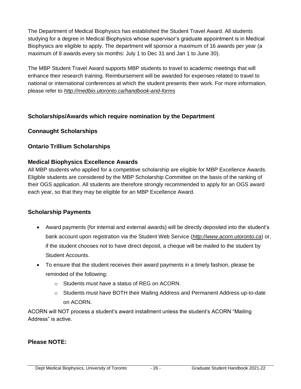The Department of Medical Biophysics has established the Student Travel Award. All students studying for a degree in Medical Biophysics whose supervisor's graduate appointment is in Medical Biophysics are eligible to apply. The department will sponsor a maximum of 16 awards per year (a maximum of 8 awards every six months: July 1 to Dec 31 and Jan 1 to June 30).

The MBP Student Travel Award supports MBP students to travel to academic meetings that will enhance their research training. Reimbursement will be awarded for expenses related to travel to national or international conferences at which the student presents their work. For more information, please refer to *<http://medbio.utoronto.ca/handbook-and-forms>*

### **Scholarships/Awards which require nomination by the Department**

### **Connaught Scholarships**

### **Ontario Trillium Scholarships**

### **Medical Biophysics Excellence Awards**

All MBP students who applied for a competitive scholarship are eligible for MBP Excellence Awards. Eligible students are considered by the MBP Scholarship Committee on the basis of the ranking of their OGS application. All students are therefore strongly recommended to apply for an OGS award each year, so that they may be eligible for an MBP Excellence Award.

### **Scholarship Payments**

- Award payments (for internal and external awards) will be directly deposited into the student's bank account upon registration via the Student Web Service (*[http://www.acorn.utoronto.ca](http://www.acorn.utoronto.ca/)*) or, if the student chooses not to have direct deposit, a cheque will be mailed to the student by Student Accounts.
- To ensure that the student receives their award payments in a timely fashion, please be reminded of the following:
	- o Students must have a status of REG on ACORN.
	- o Students must have BOTH their Mailing Address and Permanent Address up-to-date on ACORN.

ACORN will NOT process a student's award installment unless the student's ACORN "Mailing Address" is active.

### **Please NOTE:**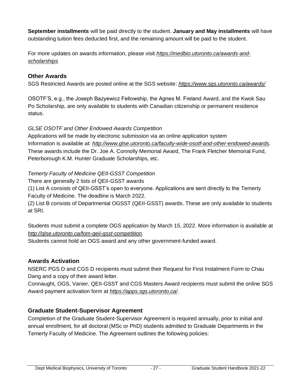**September installments** will be paid directly to the student. **January and May installments** will have outstanding tuition fees deducted first, and the remaining amount will be paid to the student.

For more updates on awards information, please visit *[https://medbio.utoronto.ca/awards-and](https://medbio.utoronto.ca/awards-and-scholarships)[scholarships](https://medbio.utoronto.ca/awards-and-scholarships)*

### **Other Awards**

SGS Restricted Awards are posted online at the SGS website: *<https://www.sgs.utoronto.ca/awards/>*

OSOTF'S, e.g., the Joseph Bazyewicz Fellowship, the Agnes M. Freland Award, and the Kwok Sau Po Scholarship, are only available to students with Canadian citizenship or permanent residence status.

### *GLSE OSOTF and Other Endowed Awards Competition*

Applications will be made by electronic submission via an online application system Information is available at: *<http://www.glse.utoronto.ca/faculty-wide-osotf-and-other-endowed-awards>*. These awards include the Dr. Joe A. Connolly Memorial Award, The Frank Fletcher Memorial Fund, Peterborough K.M. Hunter Graduate Scholarships, etc.

### *Temerty Faculty of Medicine QEII-GSST Competition*

There are generally 2 lists of QEII-GSST awards

(1) List A consists of QEII-GSST's open to everyone. Applications are sent directly to the Temerty Faculty of Medicine. The deadline is March 2022.

(2) List B consists of Departmental OGSST (QEII-GSST) awards. These are only available to students at SRI.

Students must submit a complete OGS application by March 15, 2022. More information is available at *<http://glse.utoronto.ca/fom-qeii-gsst-competition>*.

Students cannot hold an OGS award and any other government-funded award.

### **Awards Activation**

NSERC PGS D and CGS D recipients must submit their Request for First Instalment Form to Chau Dang and a copy of their award letter.

Connaught, OGS, Vanier, QEII-GSST and CGS Masters Award recipients must submit the online SGS Award payment activation form at *<https://apps.sgs.utoronto.ca/>*.

### **Graduate Student-Supervisor Agreement**

Completion of the Graduate Student-Supervisor Agreement is required annually, prior to initial and annual enrollment, for all doctoral (MSc or PhD) students admitted to Graduate Departments in the Temerty Faculty of Medicine. The Agreement outlines the following policies: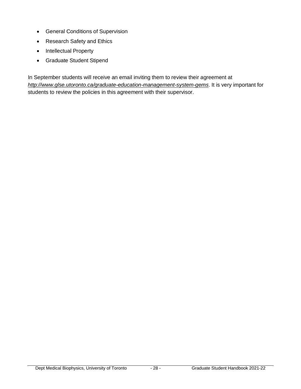- General Conditions of Supervision
- Research Safety and Ethics
- Intellectual Property
- Graduate Student Stipend

In September students will receive an email inviting them to review their agreement at *<http://www.glse.utoronto.ca/graduate-education-management-system-gems>*. It is very important for students to review the policies in this agreement with their supervisor.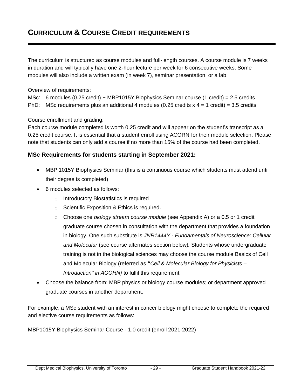### **CURRICULUM & COURSE CREDIT REQUIREMENTS**

The curriculum is structured as course modules and full-length courses. A course module is 7 weeks in duration and will typically have one 2-hour lecture per week for 6 consecutive weeks. Some modules will also include a written exam (in week 7), seminar presentation, or a lab.

Overview of requirements:

MSc: 6 modules (0.25 credit) + MBP1015Y Biophysics Seminar course (1 credit) = 2.5 credits PhD: MSc requirements plus an additional 4 modules (0.25 credits  $x$  4 = 1 credit) = 3.5 credits

Course enrollment and grading:

Each course module completed is worth 0.25 credit and will appear on the student's transcript as a 0.25 credit course. It is essential that a student enroll using ACORN for their module selection. Please note that students can only add a course if no more than 15% of the course had been completed.

#### **MSc Requirements for students starting in September 2021:**

- MBP 1015Y Biophysics Seminar (this is a continuous course which students must attend until their degree is completed)
- 6 modules selected as follows:
	- o Introductory Biostatistics is required
	- o Scientific Exposition & Ethics is required.
	- o Choose one *biology stream course module* (see Appendix A) or a 0.5 or 1 credit graduate course chosen in consultation with the department that provides a foundation in biology. One such substitute is *JNR1444Y - Fundamentals of Neuroscience: Cellular and Molecular* (see course alternates section below)*.* Students whose undergraduate training is not in the biological sciences may choose the course module Basics of Cell and Molecular Biology (referred as **"***Cell & Molecular Biology for Physicists – Introduction" in ACORN)* to fulfil this requirement*.*
- Choose the balance from: MBP physics or biology course modules; or department approved graduate courses in another department.

For example, a MSc student with an interest in cancer biology might choose to complete the required and elective course requirements as follows:

MBP1015Y Biophysics Seminar Course - 1.0 credit (enroll 2021-2022)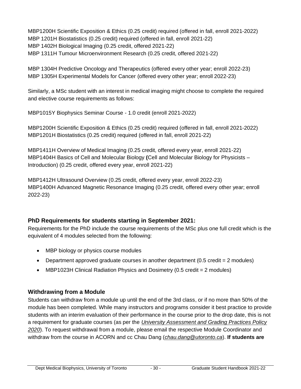MBP1200H Scientific Exposition & Ethics (0.25 credit) required (offered in fall, enroll 2021-2022) MBP 1201H Biostatistics (0.25 credit) required (offered in fall, enroll 2021-22) MBP 1402H Biological Imaging (0.25 credit, offered 2021-22) MBP 1311H Tumour Microenvironment Research (0.25 credit, offered 2021-22)

MBP 1304H Predictive Oncology and Therapeutics (offered every other year; enroll 2022-23) MBP 1305H Experimental Models for Cancer (offered every other year; enroll 2022-23)

Similarly, a MSc student with an interest in medical imaging might choose to complete the required and elective course requirements as follows:

MBP1015Y Biophysics Seminar Course - 1.0 credit (enroll 2021-2022)

MBP1200H Scientific Exposition & Ethics (0.25 credit) required (offered in fall, enroll 2021-2022) MBP1201H Biostatistics (0.25 credit) required (offered in fall, enroll 2021-22)

MBP1411H Overview of Medical Imaging (0.25 credit, offered every year, enroll 2021-22) MBP1404H Basics of Cell and Molecular Biology **(**Cell and Molecular Biology for Physicists – Introduction) (0.25 credit, offered every year, enroll 2021-22)

MBP1412H Ultrasound Overview (0.25 credit, offered every year, enroll 2022-23) MBP1400H Advanced Magnetic Resonance Imaging (0.25 credit, offered every other year; enroll 2022-23)

### **PhD Requirements for students starting in September 2021:**

Requirements for the PhD include the course requirements of the MSc plus one full credit which is the equivalent of 4 modules selected from the following:

- MBP biology or physics course modules
- Department approved graduate courses in another department  $(0.5 \text{ credit} = 2 \text{ modules})$
- MBP1023H Clinical Radiation Physics and Dosimetry (0.5 credit = 2 modules)

### **Withdrawing from a Module**

Students can withdraw from a module up until the end of the 3rd class, or if no more than 50% of the module has been completed. While many instructors and programs consider it best practice to provide students with an interim evaluation of their performance in the course prior to the drop date, this is not a requirement for graduate courses (as per the *[University Assessment and Grading Practices Policy](https://governingcouncil.utoronto.ca/secretariat/policies/grading-practices-policy-university-assessment-and-january-1-2020)  [2020](https://governingcouncil.utoronto.ca/secretariat/policies/grading-practices-policy-university-assessment-and-january-1-2020)*). To request withdrawal from a module, please email the respective Module Coordinator and withdraw from the course in ACORN and cc Chau Dang (*[chau.dang@utoronto.ca](mailto:chau.dang@utoronto.ca)*). **If students are**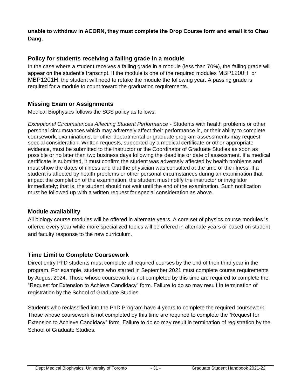**unable to withdraw in ACORN, they must complete the Drop Course form and email it to Chau Dang.**

### **Policy for students receiving a failing grade in a module**

In the case where a student receives a failing grade in a module (less than 70%), the failing grade will appear on the student's transcript. If the module is one of the required modules MBP1200H or MBP1201H, the student will need to retake the module the following year. A passing grade is required for a module to count toward the graduation requirements.

### **Missing Exam or Assignments**

Medical Biophysics follows the SGS policy as follows:

*Exceptional Circumstances Affecting Student Performance* - Students with health problems or other personal circumstances which may adversely affect their performance in, or their ability to complete coursework, examinations, or other departmental or graduate program assessments may request special consideration. Written requests, supported by a medical certificate or other appropriate evidence, must be submitted to the instructor or the Coordinator of Graduate Studies as soon as possible or no later than two business days following the deadline or date of assessment. If a medical certificate is submitted, it must confirm the student was adversely affected by health problems and must show the dates of illness and that the physician was consulted at the time of the illness. If a student is affected by health problems or other personal circumstances during an examination that impact the completion of the examination, the student must notify the instructor or invigilator immediately; that is, the student should not wait until the end of the examination. Such notification must be followed up with a written request for special consideration as above.

### **Module availability**

All biology course modules will be offered in alternate years. A core set of physics course modules is offered every year while more specialized topics will be offered in alternate years or based on student and faculty response to the new curriculum.

### **Time Limit to Complete Coursework**

Direct entry PhD students must complete all required courses by the end of their third year in the program. For example, students who started in September 2021 must complete course requirements by August 2024. Those whose coursework is not completed by this time are required to complete the "Request for Extension to Achieve Candidacy" form. Failure to do so may result in termination of registration by the School of Graduate Studies.

Students who reclassified into the PhD Program have 4 years to complete the required coursework. Those whose coursework is not completed by this time are required to complete the "Request for Extension to Achieve Candidacy" form. Failure to do so may result in termination of registration by the School of Graduate Studies.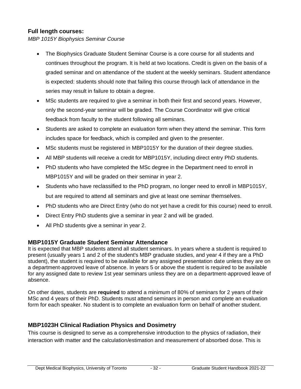### **Full length courses:**

*MBP 1015Y Biophysics Seminar Course*

- The Biophysics Graduate Student Seminar Course is a core course for all students and continues throughout the program. It is held at two locations. Credit is given on the basis of a graded seminar and on attendance of the student at the weekly seminars. Student attendance is expected: students should note that failing this course through lack of attendance in the series may result in failure to obtain a degree.
- MSc students are required to give a seminar in both their first and second years. However, only the second-year seminar will be graded. The Course Coordinator will give critical feedback from faculty to the student following all seminars.
- Students are asked to complete an evaluation form when they attend the seminar. This form includes space for feedback, which is compiled and given to the presenter.
- MSc students must be registered in MBP1015Y for the duration of their degree studies.
- All MBP students will receive a credit for MBP1015Y, including direct entry PhD students.
- PhD students who have completed the MSc degree in the Department need to enroll in MBP1015Y and will be graded on their seminar in year 2.
- Students who have reclassified to the PhD program, no longer need to enroll in MBP1015Y, but are required to attend all seminars and give at least one seminar themselves.
- PhD students who are Direct Entry (who do not yet have a credit for this course) need to enroll.
- Direct Entry PhD students give a seminar in year 2 and will be graded.
- All PhD students give a seminar in year 2.

### **MBP1015Y Graduate Student Seminar Attendance**

It is expected that MBP students attend all student seminars. In years where a student is required to present (usually years 1 and 2 of the student's MBP graduate studies, and year 4 if they are a PhD student), the student is required to be available for any assigned presentation date unless they are on a department-approved leave of absence. In years 5 or above the student is required to be available for any assigned date to review 1st year seminars unless they are on a department-approved leave of absence.

On other dates, students are **required** to attend a minimum of 80% of seminars for 2 years of their MSc and 4 years of their PhD. Students must attend seminars in person and complete an evaluation form for each speaker. No student is to complete an evaluation form on behalf of another student.

### **MBP1023H Clinical Radiation Physics and Dosimetry**

This course is designed to serve as a comprehensive introduction to the physics of radiation, their interaction with matter and the calculation/estimation and measurement of absorbed dose. This is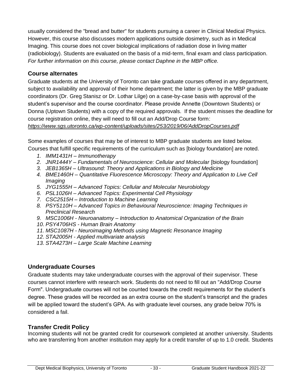usually considered the "bread and butter" for students pursuing a career in Clinical Medical Physics. However, this course also discusses modern applications outside dosimetry, such as in Medical Imaging. This course does not cover biological implications of radiation dose in living matter (radiobiology). Students are evaluated on the basis of a mid-term, final exam and class participation. *For further information on this course, please contact Daphne in the MBP office.*

### **Course alternates**

Graduate students at the University of Toronto can take graduate courses offered in any department, subject to availability and approval of their home department; the latter is given by the MBP graduate coordinators (Dr. Greg Stanisz or Dr. Lothar Lilge) on a case-by-case basis with approval of the student's supervisor and the course coordinator. Please provide Annette (Downtown Students) or Donna (Uptown Students) with a copy of the required approvals. If the student misses the deadline for course registration online, they will need to fill out an Add/Drop Course form:

*<https://www.sgs.utoronto.ca/wp-content/uploads/sites/253/2019/06/AddDropCourses.pdf>*

Some examples of courses that may be of interest to MBP graduate students are listed below. Courses that fulfill specific requirements of the curriculum such as [biology foundation] are noted.

- *1. IMM1431H – Immunotherapy*
- 2. *JNR1444Y Fundamentals of Neuroscience: Cellular and Molecular [biology foundation]*
- *3. JEB1365H – Ultrasound: Theory and Applications in Biology and Medicine*
- *4. BME1460H – Quantitative Fluorescence Microscopy: Theory and Application to Live Cell Imaging*
- *5. JYG1555H – Advanced Topics: Cellular and Molecular Neurobiology*
- *6. PSL1026H – Advanced Topics: Experimental Cell Physiology*
- *7. CSC2515H – Introduction to Machine Learning*
- *8. PSY5110H – Advanced Topics in Behavioural Neuroscience: Imaging Techniques in Preclinical Research*
- *9. MSC1006H - Neuroanatomy – Introduction to Anatomical Organization of the Brain*
- *10. PSY4706HS - Human Brain Anatomy*
- *11. MSC1087H - Neuroimaging Methods using Magnetic Resonance Imaging*
- *12. STA2005H - Applied multivariate analysis*
- *13. STA4273H – Large Scale Machine Learning*

### **Undergraduate Courses**

Graduate students may take undergraduate courses with the approval of their supervisor. These courses cannot interfere with research work. Students do not need to fill out an "Add/Drop Course Form". Undergraduate courses will not be counted towards the credit requirements for the student's degree. These grades will be recorded as an extra course on the student's transcript and the grades will be applied toward the student's GPA. As with graduate level courses, any grade below 70% is considered a fail.

### **Transfer Credit Policy**

Incoming students will not be granted credit for coursework completed at another university. Students who are transferring from another institution may apply for a credit transfer of up to 1.0 credit. Students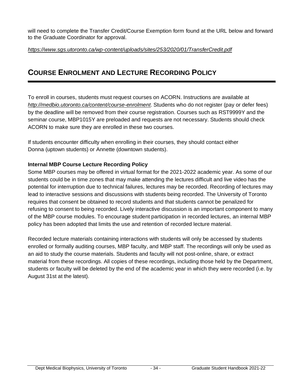will need to complete the Transfer Credit/Course Exemption form found at the URL below and forward to the Graduate Coordinator for approval.

#### *<https://www.sgs.utoronto.ca/wp-content/uploads/sites/253/2020/01/TransferCredit.pdf>*

### **COURSE ENROLMENT AND LECTURE RECORDING POLICY**

To enroll in courses, students must request courses on ACORN. Instructions are available at *<http://medbio.utoronto.ca/content/course-enrolment>*. Students who do not register (pay or defer fees) by the deadline will be removed from their course registration. Courses such as RST9999Y and the seminar course, MBP1015Y are preloaded and requests are not necessary. Students should check ACORN to make sure they are enrolled in these two courses.

If students encounter difficulty when enrolling in their courses, they should contact either Donna (uptown students) or Annette (downtown students).

#### **Internal MBP Course Lecture Recording Policy**

Some MBP courses may be offered in virtual format for the 2021-2022 academic year. As some of our students could be in time zones that may make attending the lectures difficult and live video has the potential for interruption due to technical failures, lectures may be recorded. Recording of lectures may lead to interactive sessions and discussions with students being recorded. The University of Toronto requires that consent be obtained to record students and that students cannot be penalized for refusing to consent to being recorded. Lively interactive discussion is an important component to many of the MBP course modules. To encourage student participation in recorded lectures, an internal MBP policy has been adopted that limits the use and retention of recorded lecture material.

Recorded lecture materials containing interactions with students will only be accessed by students enrolled or formally auditing courses, MBP faculty, and MBP staff. The recordings will only be used as an aid to study the course materials. Students and faculty will not post-online, share, or extract material from these recordings. All copies of these recordings, including those held by the Department, students or faculty will be deleted by the end of the academic year in which they were recorded (i.e. by August 31st at the latest).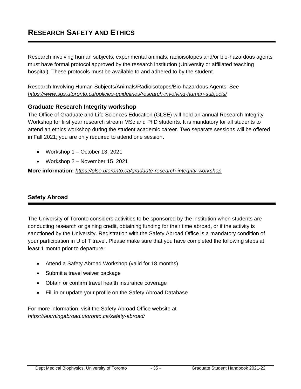# **RESEARCH SAFETY AND ETHICS**

Research involving human subjects, experimental animals, radioisotopes and/or bio-hazardous agents must have formal protocol approved by the research institution (University or affiliated teaching hospital). These protocols must be available to and adhered to by the student.

Research Involving Human Subjects/Animals/Radioisotopes/Bio-hazardous Agents: See *<https://www.sgs.utoronto.ca/policies-guidelines/research-involving-human-subjects/>*

### **Graduate Research Integrity workshop**

The Office of Graduate and Life Sciences Education (GLSE) will hold an annual Research Integrity Workshop for first year research stream MSc and PhD students. It is mandatory for all students to attend an ethics workshop during the student academic career. Two separate sessions will be offered in Fall 2021; you are only required to attend one session.

- Workshop 1 October 13, 2021
- Workshop 2 November 15, 2021

**More information:** *<https://glse.utoronto.ca/graduate-research-integrity-workshop>*

### **Safety Abroad**

The University of Toronto considers activities to be sponsored by the institution when students are conducting research or gaining credit, obtaining funding for their time abroad, or if the activity is sanctioned by the University. Registration with the Safety Abroad Office is a mandatory condition of your participation in U of T travel. Please make sure that you have completed the following steps at least 1 month prior to departure:

- Attend a [Safety Abroad Workshop](http://cie.utoronto.ca/Safety/Student-Workshops.htm) (valid for 18 months)
- Submit a travel [waiver package](http://cie.utoronto.ca/Safety/Safety-Abroad-Database/Waivers-2014-customizable-for-students-with-FIPPA.aspx)
- Obtain or confirm travel health insurance coverage
- Fill in or update your profile on the [Safety Abroad Database](http://www.safety-abroad.utoronto.ca/)

For more information, visit the Safety Abroad Office website at *<https://learningabroad.utoronto.ca/safety-abroad/>*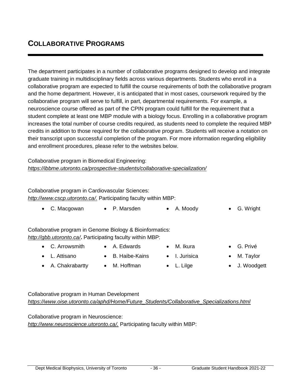The department participates in a number of collaborative programs designed to develop and integrate graduate training in multidisciplinary fields across various departments. Students who enroll in a collaborative program are expected to fulfill the course requirements of both the collaborative program and the home department. However, it is anticipated that in most cases, coursework required by the collaborative program will serve to fulfill, in part, departmental requirements. For example, a neuroscience course offered as part of the CPIN program could fulfill for the requirement that a student complete at least one MBP module with a biology focus. Enrolling in a collaborative program increases the total number of course credits required, as students need to complete the required MBP credits in addition to those required for the collaborative program. Students will receive a notation on their transcript upon successful completion of the program. For more information regarding eligibility and enrollment procedures, please refer to the websites below.

Collaborative program in Biomedical Engineering: *https://ibbme.utoronto.ca/prospective-students/collaborative-specialization/*

Collaborative program in Cardiovascular Sciences: *[http://www.cscp.utoronto.ca/.](http://www.google.com/url?q=http%3A%2F%2Fwww.cscp.utoronto.ca%2F&sa=D&sntz=1&usg=AFQjCNHUu4mwV4uVwXA6_C-VoFTjF6VRxw)* Participating faculty within MBP:

|  | $\bullet$ C. Macgowan | P. Marsden | $\bullet$ A. Moody | • G. Wright |
|--|-----------------------|------------|--------------------|-------------|
|--|-----------------------|------------|--------------------|-------------|

Collaborative program in Genome Biology & Bioinformatics: *<http://gbb.utoronto.ca/>***.** Participating faculty within MBP:

• C. Arrowsmith

• A. Chakrabartty

• L. Attisano

• A. Edwards

• M. Hoffman

• B. Haibe-Kains

- M. Ikura
	- I. Jurisica

• L. Lilge

- G. Privé
- M. Taylor
- J. Woodgett

Collaborative program in Human Development *[https://www.oise.utoronto.ca/aphd/Home/Future\\_Students/Collaborative\\_Specializations.html](https://www.oise.utoronto.ca/aphd/Home/Future_Students/Collaborative_Specializations.html)*

Collaborative program in Neuroscience: *<http://www.neuroscience.utoronto.ca/>.* Participating faculty within MBP: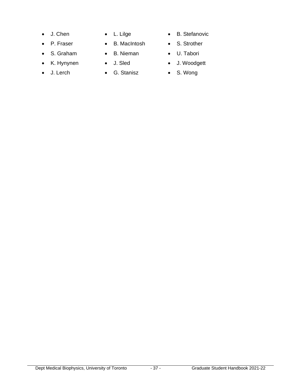- J. Chen
- P. Fraser
- S. Graham
- K. Hynynen
- J. Lerch
- L. Lilge
- B. MacIntosh
- B. Nieman
- J. Sled
- G. Stanisz
- B. Stefanovic
- S. Strother
- U. Tabori
- J. Woodgett
- S. Wong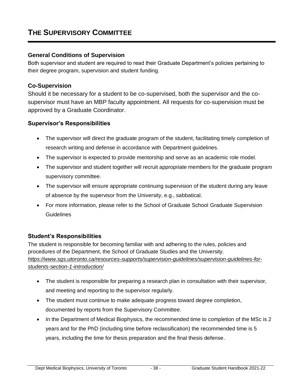# **THE SUPERVISORY COMMITTEE**

#### **General Conditions of Supervision**

Both supervisor and student are required to read their Graduate Department's policies pertaining to their degree program, supervision and student funding.

#### **Co-Supervision**

Should it be necessary for a student to be co-supervised, both the supervisor and the cosupervisor must have an MBP faculty appointment. All requests for co-supervision must be approved by a Graduate Coordinator.

#### **Supervisor's Responsibilities**

- The supervisor will direct the graduate program of the student, facilitating timely completion of research writing and defense in accordance with Department guidelines.
- The supervisor is expected to provide mentorship and serve as an academic role model.
- The supervisor and student together will recruit appropriate members for the graduate program supervisory committee.
- The supervisor will ensure appropriate continuing supervision of the student during any leave of absence by the supervisor from the University, e.g., sabbatical.
- For more information, please refer to the School of Graduate School [Graduate Supervision](http://www.sgs.utoronto.ca/innovations/bestpractices/Pages/Supervision-Guidelines-Faculty/Supervisors-Section-1--Introduction.aspx)  [Guidelines](http://www.sgs.utoronto.ca/innovations/bestpractices/Pages/Supervision-Guidelines-Faculty/Supervisors-Section-1--Introduction.aspx)

#### **Student's Responsibilities**

The student is responsible for becoming familiar with and adhering to the rules, policies and procedures of the Department, the School of Graduate Studies and the University. *[https://www.sgs.utoronto.ca/resources-supports/supervision-guidelines/supervision-guidelines-for](https://www.sgs.utoronto.ca/resources-supports/supervision-guidelines/supervision-guidelines-for-students-section-1-introduction/)[students-section-1-introduction/](https://www.sgs.utoronto.ca/resources-supports/supervision-guidelines/supervision-guidelines-for-students-section-1-introduction/)*

- The student is responsible for preparing a research plan in consultation with their supervisor, and meeting and reporting to the supervisor regularly.
- The student must continue to make adequate progress toward degree completion, documented by reports from the Supervisory Committee.
- In the Department of Medical Biophysics, the recommended time to completion of the MSc is 2 years and for the PhD (including time before reclassification) the recommended time is 5 years, including the time for thesis preparation and the final thesis defense.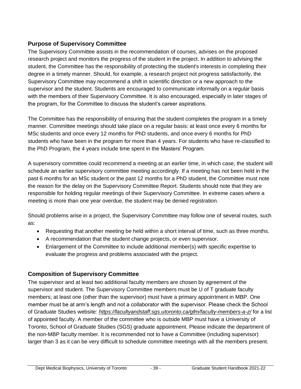# **Purpose of Supervisory Committee**

The Supervisory Committee assists in the recommendation of courses, advises on the proposed research project and monitors the progress of the student in the project. In addition to advising the student, the Committee has the responsibility of protecting the student's interests in completing their degree in a timely manner. Should, for example, a research project not progress satisfactorily, the Supervisory Committee may recommend a shift in scientific direction or a new approach to the supervisor and the student. Students are encouraged to communicate informally on a regular basis with the members of their Supervisory Committee. It is also encouraged, especially in later stages of the program, for the Committee to discuss the student's career aspirations.

The Committee has the responsibility of ensuring that the student completes the program in a timely manner. Committee meetings should take place on a regular basis: at least once every 6 months for MSc students and once every 12 months for PhD students, and once every 6 months for PhD students who have been in the program for more than 4 years. For students who have re-classified to the PhD Program, the 4 years include time spent in the Masters' Program.

A supervisory committee could recommend a meeting at an earlier time, in which case, the student will schedule an earlier supervisory committee meeting accordingly. If a meeting has not been held in the past 6 months for an MSc student or the past 12 months for a PhD student, the Committee must note the reason for the delay on the Supervisory Committee Report. Students should note that they are responsible for holding regular meetings of their Supervisory Committee. In extreme cases where a meeting is more than one year overdue, the student may be denied registration.

Should problems arise in a project, the Supervisory Committee may follow one of several routes, such as:

- Requesting that another meeting be held within a short interval of time, such as three months.
- A recommendation that the student change projects, or even supervisor.
- Enlargement of the Committee to include additional member(s) with specific expertise to evaluate the progress and problems associated with the project.

# **Composition of Supervisory Committee**

The supervisor and at least two additional faculty members are chosen by agreement of the supervisor and student. The Supervisory Committee members must be U of T graduate faculty members; at least one (other than the supervisor) must have a primary appointment in MBP. One member must be at arm's length and not a collaborator with the supervisor. Please check the School of Graduate Studies website: *<https://facultyandstaff.sgs.utoronto.ca/gfm/faculty-members-a-z/>* for a list of appointed faculty. A member of the committee who is outside MBP must have a University of Toronto, School of Graduate Studies (SGS) graduate appointment. Please indicate the department of the non-MBP faculty member. It is recommended not to have a Committee (including supervisor) larger than 3 as it can be very difficult to schedule committee meetings with all the members present.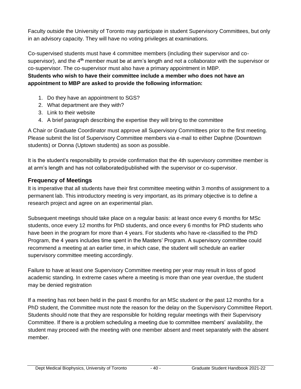Faculty outside the University of Toronto may participate in student Supervisory Committees, but only in an advisory capacity. They will have no voting privileges at examinations.

Co-supervised students must have 4 committee members (including their supervisor and cosupervisor), and the 4**th** member must be at arm's length and not a collaborator with the supervisor or co-supervisor. The co-supervisor must also have a primary appointment in MBP.

#### **Students who wish to have their committee include a member who does not have an appointment to MBP are asked to provide the following information:**

- 1. Do they have an appointment to SGS?
- 2. What department are they with?
- 3. Link to their website
- 4. A brief paragraph describing the expertise they will bring to the committee

A Chair or Graduate Coordinator must approve all Supervisory Committees prior to the first meeting. Please submit the list of Supervisory Committee members via e-mail to either Daphne (Downtown students) or Donna (Uptown students) as soon as possible.

It is the student's responsibility to provide confirmation that the 4th supervisory committee member is at arm's length and has not collaborated/published with the supervisor or co-supervisor.

# **Frequency of Meetings**

It is imperative that all students have their first committee meeting within 3 months of assignment to a permanent lab. This introductory meeting is very important, as its primary objective is to define a research project and agree on an experimental plan.

Subsequent meetings should take place on a regular basis: at least once every 6 months for MSc students, once every 12 months for PhD students, and once every 6 months for PhD students who have been in the program for more than 4 years. For students who have re-classified to the PhD Program, the 4 years includes time spent in the Masters' Program. A supervisory committee could recommend a meeting at an earlier time, in which case, the student will schedule an earlier supervisory committee meeting accordingly.

Failure to have at least one Supervisory Committee meeting per year may result in loss of good academic standing. In extreme cases where a meeting is more than one year overdue, the student may be denied registration

If a meeting has not been held in the past 6 months for an MSc student or the past 12 months for a PhD student, the Committee must note the reason for the delay on the Supervisory Committee Report. Students should note that they are responsible for holding regular meetings with their Supervisory Committee. If there is a problem scheduling a meeting due to committee members' availability, the student may proceed with the meeting with one member absent and meet separately with the absent member.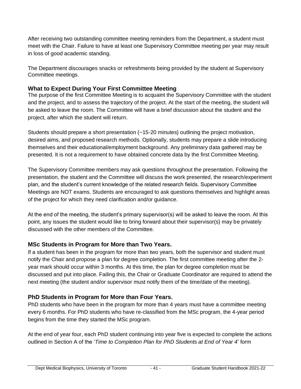After receiving two outstanding committee meeting reminders from the Department, a student must meet with the Chair. Failure to have at least one Supervisory Committee meeting per year may result in loss of good academic standing.

The Department discourages snacks or refreshments being provided by the student at Supervisory Committee meetings.

## **What to Expect During Your First Committee Meeting**

The purpose of the first Committee Meeting is to acquaint the Supervisory Committee with the student and the project, and to assess the trajectory of the project. At the start of the meeting, the student will be asked to leave the room. The Committee will have a brief discussion about the student and the project, after which the student will return.

Students should prepare a short presentation (~15-20 minutes) outlining the project motivation, desired aims, and proposed research methods. Optionally, students may prepare a slide introducing themselves and their educational/employment background. Any preliminary data gathered may be presented. It is not a requirement to have obtained concrete data by the first Committee Meeting.

The Supervisory Committee members may ask questions throughout the presentation. Following the presentation, the student and the Committee will discuss the work presented, the research/experiment plan, and the student's current knowledge of the related research fields. Supervisory Committee Meetings are NOT exams. Students are encouraged to ask questions themselves and highlight areas of the project for which they need clarification and/or guidance.

At the end of the meeting, the student's primary supervisor(s) will be asked to leave the room. At this point, any issues the student would like to bring forward about their supervisor(s) may be privately discussed with the other members of the Committee.

# **MSc Students in Program for More than Two Years.**

If a student has been in the program for more than two years, both the supervisor and student must notify the Chair and propose a plan for degree completion. The first committee meeting after the 2 year mark should occur within 3 months. At this time, the plan for degree completion must be discussed and put into place. Failing this, the Chair or Graduate Coordinator are required to attend the next meeting (the student and/or supervisor must notify them of the time/date of the meeting).

# **PhD Students in Program for More than Four Years.**

PhD students who have been in the program for more than 4 years must have a committee meeting every 6 months. For PhD students who have re-classified from the MSc program, the 4-year period begins from the time they started the MSc program.

At the end of year four, each PhD student continuing into year five is expected to complete the actions outlined in Section A of the '*Time to Completion Plan for PhD Students at End of Year 4*' form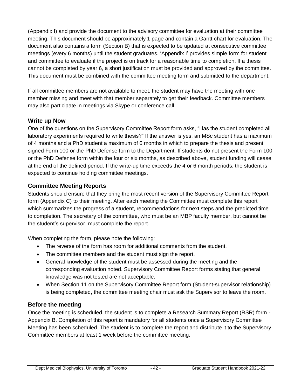(Appendix I) and provide the document to the advisory committee for evaluation at their committee meeting. This document should be approximately 1 page and contain a Gantt chart for evaluation. The document also contains a form (Section B) that is expected to be updated at consecutive committee meetings (every 6 months) until the student graduates. 'Appendix I' provides simple form for student and committee to evaluate if the project is on track for a reasonable time to completion. If a thesis cannot be completed by year 6, a short justification must be provided and approved by the committee. This document must be combined with the committee meeting form and submitted to the department.

If all committee members are not available to meet, the student may have the meeting with one member missing and meet with that member separately to get their feedback. Committee members may also participate in meetings via Skype or conference call.

## **Write up Now**

One of the questions on the Supervisory Committee Report form asks, "Has the student completed all laboratory experiments required to write thesis?" If the answer is yes, an MSc student has a maximum of 4 months and a PhD student a maximum of 6 months in which to prepare the thesis and present signed Form 100 or the PhD Defense form to the Department. If students do not present the Form 100 or the PhD Defense form within the four or six months, as described above, student funding will cease at the end of the defined period. If the write-up time exceeds the 4 or 6 month periods, the student is expected to continue holding committee meetings.

# **Committee Meeting Reports**

Students should ensure that they bring the most recent version of the Supervisory Committee Report form (Appendix C) to their meeting. After each meeting the Committee must complete this report which summarizes the progress of a student, recommendations for next steps and the predicted time to completion. The secretary of the committee, who must be an MBP faculty member, but cannot be the student's supervisor, must complete the report.

When completing the form, please note the following:

- The reverse of the form has room for additional comments from the student.
- The committee members and the student must sign the report.
- General knowledge of the student must be assessed during the meeting and the corresponding evaluation noted. Supervisory Committee Report forms stating that general knowledge was not tested are not acceptable.
- When Section 11 on the Supervisory Committee Report form (Student-supervisor relationship) is being completed, the committee meeting chair must ask the Supervisor to leave the room.

# **Before the meeting**

Once the meeting is scheduled, the student is to complete a Research Summary Report (RSR) form - Appendix B. Completion of this report is mandatory for all students once a Supervisory Committee Meeting has been scheduled. The student is to complete the report and distribute it to the Supervisory Committee members at least 1 week before the committee meeting.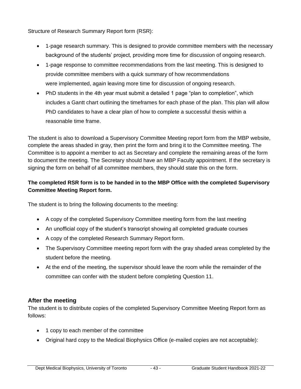Structure of Research Summary Report form (RSR):

- 1-page research summary. This is designed to provide committee members with the necessary background of the students' project, providing more time for discussion of ongoing research.
- 1-page response to committee recommendations from the last meeting. This is designed to provide committee members with a quick summary of how recommendations were implemented, again leaving more time for discussion of ongoing research.
- PhD students in the 4th year must submit a detailed 1 page "plan to completion", which includes a Gantt chart outlining the timeframes for each phase of the plan. This plan will allow PhD candidates to have a clear plan of how to complete a successful thesis within a reasonable time frame.

The student is also to download a Supervisory Committee Meeting report form from the MBP website, complete the areas shaded in gray, then print the form and bring it to the Committee meeting. The Committee is to appoint a member to act as Secretary and complete the remaining areas of the form to document the meeting. The Secretary should have an MBP Faculty appointment. If the secretary is signing the form on behalf of all committee members, they should state this on the form.

## **The completed RSR form is to be handed in to the MBP Office with the completed Supervisory Committee Meeting Report form.**

The student is to bring the following documents to the meeting:

- A copy of the completed Supervisory Committee meeting form from the last meeting
- An unofficial copy of the student's transcript showing all completed graduate courses
- A copy of the completed Research Summary Report form.
- The Supervisory Committee meeting report form with the gray shaded areas completed by the student before the meeting.
- At the end of the meeting, the supervisor should leave the room while the remainder of the committee can confer with the student before completing Question 11.

## **After the meeting**

The student is to distribute copies of the completed Supervisory Committee Meeting Report form as follows:

- 1 copy to each member of the committee
- Original hard copy to the Medical Biophysics Office (e-mailed copies are not acceptable):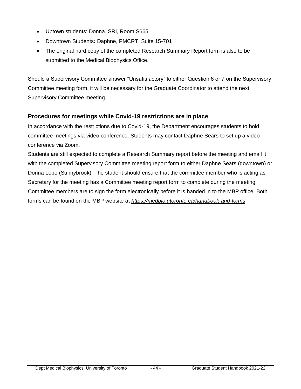- Uptown students: Donna, SRI, Room S665
- Downtown Students*:* Daphne, PMCRT, Suite 15-701
- The original hard copy of the completed Research Summary Report form is also to be submitted to the Medical Biophysics Office.

Should a Supervisory Committee answer "Unsatisfactory" to either Question 6 or 7 on the Supervisory Committee meeting form, it will be necessary for the Graduate Coordinator to attend the next Supervisory Committee meeting.

## **Procedures for meetings while Covid-19 restrictions are in place**

In accordance with the restrictions due to Covid-19, the Department encourages students to hold committee meetings via video conference. Students may contact Daphne Sears to set up a video conference via Zoom.

Students are still expected to complete a Research Summary report before the meeting and email it with the completed Supervisory Committee meeting report form to either Daphne Sears (downtown) or Donna Lobo (Sunnybrook). The student should ensure that the committee member who is acting as Secretary for the meeting has a Committee meeting report form to complete during the meeting. Committee members are to sign the form electronically before it is handed in to the MBP office. Both forms can be found on the MBP website at *<https://medbio.utoronto.ca/handbook-and-forms>*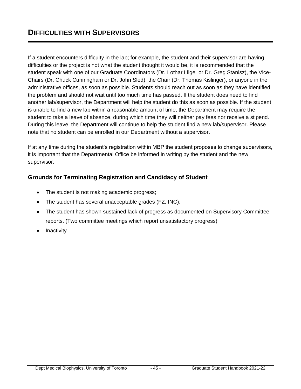If a student encounters difficulty in the lab; for example, the student and their supervisor are having difficulties or the project is not what the student thought it would be, it is recommended that the student speak with one of our Graduate Coordinators (Dr. Lothar Lilge or Dr. Greg Stanisz), the Vice-Chairs (Dr. Chuck Cunningham or Dr. John Sled), the Chair (Dr. Thomas Kislinger), or anyone in the administrative offices, as soon as possible. Students should reach out as soon as they have identified the problem and should not wait until too much time has passed. If the student does need to find another lab/supervisor, the Department will help the student do this as soon as possible. If the student is unable to find a new lab within a reasonable amount of time, the Department may require the student to take a leave of absence, during which time they will neither pay fees nor receive a stipend. During this leave, the Department will continue to help the student find a new lab/supervisor. Please note that no student can be enrolled in our Department without a supervisor.

If at any time during the student's registration within MBP the student proposes to change supervisors, it is important that the Departmental Office be informed in writing by the student and the new supervisor.

## **Grounds for Terminating Registration and Candidacy of Student**

- The student is not making academic progress;
- The student has several unacceptable grades (FZ, INC);
- The student has shown sustained lack of progress as documented on Supervisory Committee reports. (Two committee meetings which report unsatisfactory progress)
- Inactivity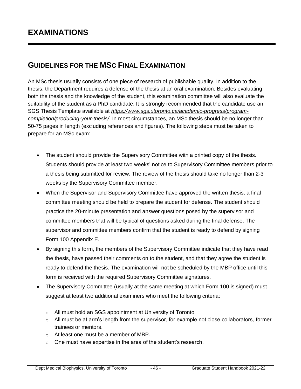# **GUIDELINES FOR THE MSC FINAL EXAMINATION**

An MSc thesis usually consists of one piece of research of publishable quality. In addition to the thesis, the Department requires a defense of the thesis at an oral examination. Besides evaluating both the thesis and the knowledge of the student, this examination committee will also evaluate the suitability of the student as a PhD candidate. It is strongly recommended that the candidate use an SGS Thesis Template available at *[https://www.sgs.utoronto.ca/academic-progress/program](https://www.sgs.utoronto.ca/academic-progress/program-completion/producing-your-thesis/)[completion/producing-your-thesis/](https://www.sgs.utoronto.ca/academic-progress/program-completion/producing-your-thesis/)*. In most circumstances, an MSc thesis should be no longer than 50-75 pages in length (excluding references and figures). The following steps must be taken to prepare for an MSc exam:

- The student should provide the Supervisory Committee with a printed copy of the thesis. Students should provide at least two weeks' notice to Supervisory Committee members prior to a thesis being submitted for review. The review of the thesis should take no longer than 2-3 weeks by the Supervisory Committee member.
- When the Supervisor and Supervisory Committee have approved the written thesis, a final committee meeting should be held to prepare the student for defense. The student should practice the 20-minute presentation and answer questions posed by the supervisor and committee members that will be typical of questions asked during the final defense. The supervisor and committee members confirm that the student is ready to defend by signing Form 100 Appendix E.
- By signing this form, the members of the Supervisory Committee indicate that they have read the thesis, have passed their comments on to the student, and that they agree the student is ready to defend the thesis. The examination will not be scheduled by the MBP office until this form is received with the required Supervisory Committee signatures.
- The Supervisory Committee (usually at the same meeting at which Form 100 is signed) must suggest at least two additional examiners who meet the following criteria:
	- o All must hold an SGS appointment at University of Toronto
	- $\circ$  All must be at arm's length from the supervisor, for example not close collaborators, former trainees or mentors.
	- o At least one must be a member of MBP.
	- $\circ$  One must have expertise in the area of the student's research.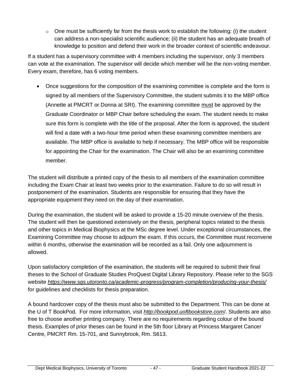$\circ$  One must be sufficiently far from the thesis work to establish the following: (i) the student can address a non-specialist scientific audience; (ii) the student has an adequate breath of knowledge to position and defend their work in the broader context of scientific endeavour.

If a student has a supervisory committee with 4 members including the supervisor, only 3 members can vote at the examination. The supervisor will decide which member will be the non-voting member. Every exam, therefore, has 6 voting members.

• Once suggestions for the composition of the examining committee is complete and the form is signed by all members of the Supervisory Committee, the student submits it to the MBP office (Annette at PMCRT or Donna at SRI). The examining committee must be approved by the Graduate Coordinator or MBP Chair before scheduling the exam. The student needs to make sure this form is complete with the title of the proposal. After the form is approved, the student will find a date with a two-hour time period when these examining committee members are available. The MBP office is available to help if necessary. The MBP office will be responsible for appointing the Chair for the examination. The Chair will also be an examining committee member.

The student will distribute a printed copy of the thesis to all members of the examination committee including the Exam Chair at least two weeks prior to the examination. Failure to do so will result in postponement of the examination. Students are responsible for ensuring that they have the appropriate equipment they need on the day of their examination.

During the examination, the student will be asked to provide a 15-20 minute overview of the thesis. The student will then be questioned extensively on the thesis, peripheral topics related to the thesis and other topics in Medical Biophysics at the MSc degree level. Under exceptional circumstances, the Examining Committee may choose to adjourn the exam. If this occurs, the Committee must reconvene within 6 months, otherwise the examination will be recorded as a fail. Only one adjournment is allowed.

Upon satisfactory completion of the examination, the students will be required to submit their final theses to the School of Graduate Studies ProQuest Digital Library Repository. Please refer to the SGS website *<https://www.sgs.utoronto.ca/academic-progress/program-completion/producing-your-thesis/>* for guidelines and checklists for thesis preparation.

A bound hardcover copy of the thesis must also be submitted to the Department. This can be done at the U of T BookPod. For more information, visit *[http://bookpod.uoftbookstore.com](http://bookpod.uoftbookstore.com/)*/. Students are also free to choose another printing company. There are no requirements regarding colour of the bound thesis. Examples of prior theses can be found in the 5th floor Library at Princess Margaret Cancer Centre, PMCRT Rm. 15-701, and Sunnybrook, Rm. S613.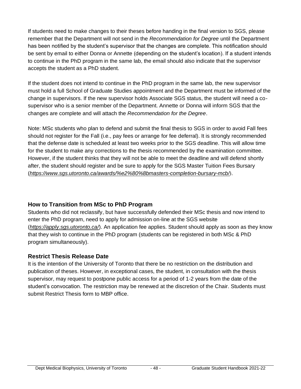If students need to make changes to their theses before handing in the final version to SGS, please remember that the Department will not send in the *Recommendation for Degree* until the Department has been notified by the student's supervisor that the changes are complete. This notification should be sent by email to either Donna or Annette (depending on the student's location). If a student intends to continue in the PhD program in the same lab, the email should also indicate that the supervisor accepts the student as a PhD student.

If the student does not intend to continue in the PhD program in the same lab, the new supervisor must hold a full School of Graduate Studies appointment and the Department must be informed of the change in supervisors. If the new supervisor holds Associate SGS status, the student will need a cosupervisor who is a senior member of the Department. Annette or Donna will inform SGS that the changes are complete and will attach the *Recommendation for the Degree*.

Note: MSc students who plan to defend and submit the final thesis to SGS in order to avoid Fall fees should not register for the Fall (i.e., pay fees or arrange for fee deferral). It is strongly recommended that the defense date is scheduled at least two weeks prior to the SGS deadline. This will allow time for the student to make any corrections to the thesis recommended by the examination committee. However, if the student thinks that they will not be able to meet the deadline and will defend shortly after, the student should register and be sure to apply for the SGS Master Tuition Fees Bursary (*<https://www.sgs.utoronto.ca/awards/%e2%80%8bmasters-completion-bursary-mcb/>*).

# **How to Transition from MSc to PhD Program**

Students who did not reclassify, but have successfully defended their MSc thesis and now intend to enter the PhD program, need to apply for admission on-line at the SGS website (*[https://apply.sgs.utoronto.ca/](http://www.google.com/url?q=https%3A%2F%2Fapply.sgs.utoronto.ca%2F&sa=D&sntz=1&usg=AFQjCNFV331lnv7goYbmvH7mnI9EeQfWJg)*). An application fee applies. Student should apply as soon as they know that they wish to continue in the PhD program (students can be registered in both MSc & PhD program simultaneously).

## **Restrict Thesis Release Date**

It is the intention of the University of Toronto that there be no restriction on the distribution and publication of theses. However, in exceptional cases, the student, in consultation with the thesis supervisor, may request to postpone public access for a period of 1-2 years from the date of the student's convocation. The restriction may be renewed at the discretion of the Chair. Students must submit Restrict Thesis form to MBP office.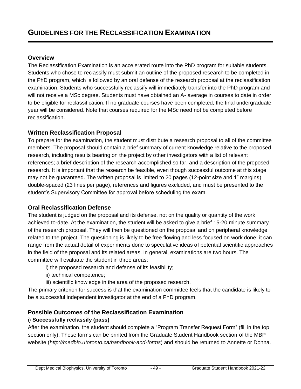#### **Overview**

The Reclassification Examination is an accelerated route into the PhD program for suitable students. Students who chose to reclassify must submit an outline of the proposed research to be completed in the PhD program, which is followed by an oral defense of the research proposal at the reclassification examination. Students who successfully reclassify will immediately transfer into the PhD program and will not receive a MSc degree. Students must have obtained an A- average in courses to date in order to be eligible for reclassification. If no graduate courses have been completed, the final undergraduate year will be considered. Note that courses required for the MSc need not be completed before reclassification.

## **Written Reclassification Proposal**

To prepare for the examination, the student must distribute a research proposal to all of the committee members. The proposal should contain a brief summary of current knowledge relative to the proposed research, including results bearing on the project by other investigators with a list of relevant references; a brief description of the research accomplished so far, and a description of the proposed research. It is important that the research be feasible, even though successful outcome at this stage may not be guaranteed. The written proposal is limited to 20 pages (12-point size and 1" margins) double-spaced (23 lines per page), references and figures excluded, and must be presented to the student's Supervisory Committee for approval before scheduling the exam.

## **Oral Reclassification Defense**

The student is judged on the proposal and its defense, not on the quality or quantity of the work achieved to-date. At the examination, the student will be asked to give a brief 15-20 minute summary of the research proposal. They will then be questioned on the proposal and on peripheral knowledge related to the project. The questioning is likely to be free flowing and less focused on work done: it can range from the actual detail of experiments done to speculative ideas of potential scientific approaches in the field of the proposal and its related areas. In general, examinations are two hours. The committee will evaluate the student in three areas:

- i) the proposed research and defense of its feasibility;
- ii) technical competence;
- iii) scientific knowledge in the area of the proposed research.

The primary criterion for success is that the examination committee feels that the candidate is likely to be a successful independent investigator at the end of a PhD program.

# **Possible Outcomes of the Reclassification Examination**

## i) **Successfully reclassify (pass)**

After the examination, the student should complete a "Program Transfer Request Form" (fill in the top section only). These forms can be printed from the Graduate Student Handbook section of the MBP website (*<http://medbio.utoronto.ca/handbook-and-forms>*) and should be returned to Annette or Donna.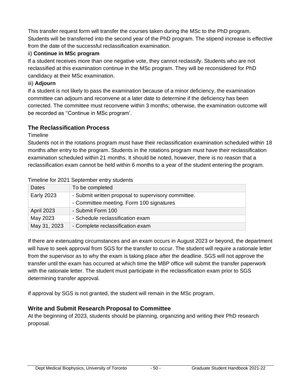This transfer request form will transfer the courses taken during the MSc to the PhD program. Students will be transferred into the second year of the PhD program. The stipend increase is effective from the date of the successful reclassification examination.

## ii) **Continue in MSc program**

If a student receives more than one negative vote, they cannot reclassify. Students who are not reclassified at this examination continue in the MSc program. They will be reconsidered for PhD candidacy at their MSc examination.

## iii) **Adjourn**

If a student is not likely to pass the examination because of a minor deficiency, the examination committee can adjourn and reconvene at a later date to determine if the deficiency has been corrected. The committee must reconvene within 3 months; otherwise, the examination outcome will be recorded as ''Continue in MSc program'.

# **The Reclassification Process**

**Timeline** 

Students not in the rotations program must have their reclassification examination scheduled within 18 months after entry to the program. Students in the rotations program must have their reclassification examination scheduled within 21 months. It should be noted, however, there is no reason that a reclassification exam cannot be held within 6 months to a year of the student entering the program.

| Timeline for 2021 September entry students |
|--------------------------------------------|
|                                            |

| Dates             | To be completed                                     |
|-------------------|-----------------------------------------------------|
| <b>Early 2023</b> | - Submit written proposal to supervisory committee. |
|                   | - Committee meeting. Form 100 signatures            |
| <b>April 2023</b> | - Submit Form 100                                   |
| May 2023          | - Schedule reclassification exam                    |
| May 31, 2023      | - Complete reclassification exam                    |

If there are extenuating circumstances and an exam occurs in August 2023 or beyond, the department will have to seek approval from SGS for the transfer to occur. The student will require a rationale letter from the supervisor as to why the exam is taking place after the deadline. SGS will not approve the transfer until the exam has occurred at which time the MBP office will submit the transfer paperwork with the rationale letter. The student must participate in the reclassification exam prior to SGS determining transfer approval.

If approval by SGS is not granted, the student will remain in the MSc program.

# **Write and Submit Research Proposal to Committee**

At the beginning of 2023, students should be planning, organizing and writing their PhD research proposal.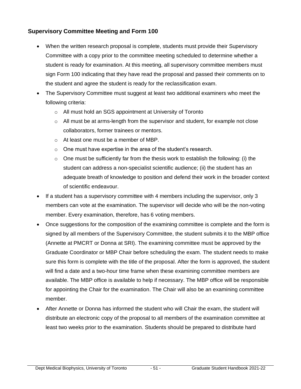## **Supervisory Committee Meeting and Form 100**

- When the written research proposal is complete, students must provide their Supervisory Committee with a copy prior to the committee meeting scheduled to determine whether a student is ready for examination. At this meeting, all supervisory committee members must sign Form 100 indicating that they have read the proposal and passed their comments on to the student and agree the student is ready for the reclassification exam.
- The Supervisory Committee must suggest at least two additional examiners who meet the following criteria:
	- o All must hold an SGS appointment at University of Toronto
	- $\circ$  All must be at arms-length from the supervisor and student, for example not close collaborators, former trainees or mentors.
	- o At least one must be a member of MBP.
	- o One must have expertise in the area of the student's research.
	- $\circ$  One must be sufficiently far from the thesis work to establish the following: (i) the student can address a non-specialist scientific audience; (ii) the student has an adequate breath of knowledge to position and defend their work in the broader context of scientific endeavour.
- If a student has a supervisory committee with 4 members including the supervisor, only 3 members can vote at the examination. The supervisor will decide who will be the non-voting member. Every examination, therefore, has 6 voting members.
- Once suggestions for the composition of the examining committee is complete and the form is signed by all members of the Supervisory Committee, the student submits it to the MBP office (Annette at PMCRT or Donna at SRI). The examining committee must be approved by the Graduate Coordinator or MBP Chair before scheduling the exam. The student needs to make sure this form is complete with the title of the proposal. After the form is approved, the student will find a date and a two-hour time frame when these examining committee members are available. The MBP office is available to help if necessary. The MBP office will be responsible for appointing the Chair for the examination. The Chair will also be an examining committee member.
- After Annette or Donna has informed the student who will Chair the exam, the student will distribute an electronic copy of the proposal to all members of the examination committee at least two weeks prior to the examination. Students should be prepared to distribute hard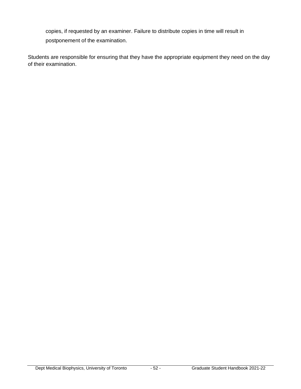copies, if requested by an examiner. Failure to distribute copies in time will result in postponement of the examination.

Students are responsible for ensuring that they have the appropriate equipment they need on the day of their examination.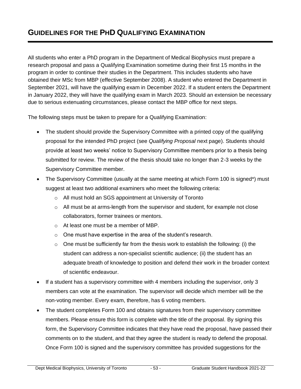# **GUIDELINES FOR THE PHD QUALIFYING EXAMINATION**

All students who enter a PhD program in the Department of Medical Biophysics must prepare a research proposal and pass a Qualifying Examination sometime during their first 15 months in the program in order to continue their studies in the Department. This includes students who have obtained their MSc from MBP (effective September 2008). A student who entered the Department in September 2021, will have the qualifying exam in December 2022. If a student enters the Department in January 2022, they will have the qualifying exam in March 2023. Should an extension be necessary due to serious extenuating circumstances, please contact the MBP office for next steps.

The following steps must be taken to prepare for a Qualifying Examination:

- The student should provide the Supervisory Committee with a printed copy of the qualifying proposal for the intended PhD project (see *Qualifying Proposal* next page). Students should provide at least two weeks' notice to Supervisory Committee members prior to a thesis being submitted for review. The review of the thesis should take no longer than 2-3 weeks by the Supervisory Committee member.
- The Supervisory Committee (usually at the same meeting at which Form 100 is signed\*) must suggest at least two additional examiners who meet the following criteria:
	- o All must hold an SGS appointment at University of Toronto
	- $\circ$  All must be at arms-length from the supervisor and student, for example not close collaborators, former trainees or mentors.
	- o At least one must be a member of MBP.
	- o One must have expertise in the area of the student's research.
	- $\circ$  One must be sufficiently far from the thesis work to establish the following: (i) the student can address a non-specialist scientific audience; (ii) the student has an adequate breath of knowledge to position and defend their work in the broader context of scientific endeavour.
- If a student has a supervisory committee with 4 members including the supervisor, only 3 members can vote at the examination. The supervisor will decide which member will be the non-voting member. Every exam, therefore, has 6 voting members.
- The student completes Form 100 and obtains signatures from their supervisory committee members. Please ensure this form is complete with the title of the proposal. By signing this form, the Supervisory Committee indicates that they have read the proposal, have passed their comments on to the student, and that they agree the student is ready to defend the proposal. Once Form 100 is signed and the supervisory committee has provided suggestions for the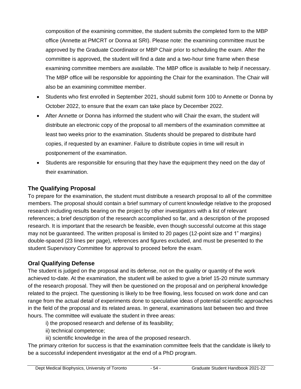composition of the examining committee, the student submits the completed form to the MBP office (Annette at PMCRT or Donna at SRI). Please note: the examining committee must be approved by the Graduate Coordinator or MBP Chair prior to scheduling the exam. After the committee is approved, the student will find a date and a two-hour time frame when these examining committee members are available. The MBP office is available to help if necessary. The MBP office will be responsible for appointing the Chair for the examination. The Chair will also be an examining committee member.

- Students who first enrolled in September 2021, should submit form 100 to Annette or Donna by October 2022, to ensure that the exam can take place by December 2022.
- After Annette or Donna has informed the student who will Chair the exam, the student will distribute an electronic copy of the proposal to all members of the examination committee at least two weeks prior to the examination. Students should be prepared to distribute hard copies, if requested by an examiner. Failure to distribute copies in time will result in postponement of the examination.
- Students are responsible for ensuring that they have the equipment they need on the day of their examination.

# **The Qualifying Proposal**

To prepare for the examination, the student must distribute a research proposal to all of the committee members. The proposal should contain a brief summary of current knowledge relative to the proposed research including results bearing on the project by other investigators with a list of relevant references; a brief description of the research accomplished so far, and a description of the proposed research. It is important that the research be feasible, even though successful outcome at this stage may not be guaranteed. The written proposal is limited to 20 pages (12-point size and 1" margins) double-spaced (23 lines per page), references and figures excluded, and must be presented to the student Supervisory Committee for approval to proceed before the exam.

# **Oral Qualifying Defense**

The student is judged on the proposal and its defense, not on the quality or quantity of the work achieved to-date. At the examination, the student will be asked to give a brief 15-20 minute summary of the research proposal. They will then be questioned on the proposal and on peripheral knowledge related to the project. The questioning is likely to be free flowing, less focused on work done and can range from the actual detail of experiments done to speculative ideas of potential scientific approaches in the field of the proposal and its related areas. In general, examinations last between two and three hours. The committee will evaluate the student in three areas:

- i) the proposed research and defense of its feasibility;
- ii) technical competence;
- iii) scientific knowledge in the area of the proposed research.

The primary criterion for success is that the examination committee feels that the candidate is likely to be a successful independent investigator at the end of a PhD program.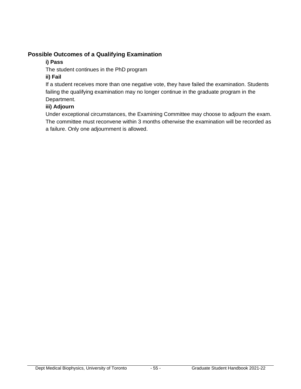## **Possible Outcomes of a Qualifying Examination**

## **i) Pass**

The student continues in the PhD program

## **ii) Fail**

If a student receives more than one negative vote, they have failed the examination. Students failing the qualifying examination may no longer continue in the graduate program in the Department.

## **iii) Adjourn**

Under exceptional circumstances, the Examining Committee may choose to adjourn the exam. The committee must reconvene within 3 months otherwise the examination will be recorded as a failure. Only one adjournment is allowed.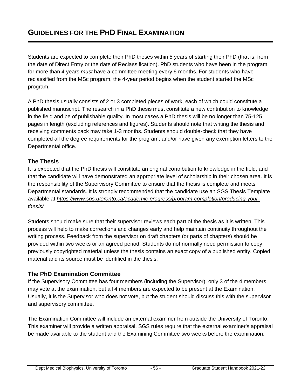Students are expected to complete their PhD theses within 5 years of starting their PhD (that is, from the date of Direct Entry or the date of Reclassification). PhD students who have been in the program for more than 4 years *must* have a committee meeting every 6 months. For students who have reclassified from the MSc program, the 4-year period begins when the student started the MSc program.

A PhD thesis usually consists of 2 or 3 completed pieces of work, each of which could constitute a published manuscript. The research in a PhD thesis must constitute a new contribution to knowledge in the field and be of publishable quality. In most cases a PhD thesis will be no longer than 75-125 pages in length (excluding references and figures). Students should note that writing the thesis and receiving comments back may take 1-3 months. Students should double-check that they have completed all the degree requirements for the program, and/or have given any exemption letters to the Departmental office.

## **The Thesis**

It is expected that the PhD thesis will constitute an original contribution to knowledge in the field, and that the candidate will have demonstrated an appropriate level of scholarship in their chosen area. It is the responsibility of the Supervisory Committee to ensure that the thesis is complete and meets Departmental standards. It is strongly recommended that the candidate use an SGS Thesis Template available at *[https://www.sgs.utoronto.ca/academic-progress/program-completion/producing-your](https://www.sgs.utoronto.ca/academic-progress/program-completion/producing-your-thesis/)[thesis/](https://www.sgs.utoronto.ca/academic-progress/program-completion/producing-your-thesis/)*.

Students should make sure that their supervisor reviews each part of the thesis as it is written. This process will help to make corrections and changes early and help maintain continuity throughout the writing process. Feedback from the supervisor on draft chapters (or parts of chapters) should be provided within two weeks or an agreed period. Students do not normally need permission to copy previously copyrighted material unless the thesis contains an exact copy of a published entity. Copied material and its source must be identified in the thesis.

## **The PhD Examination Committee**

If the Supervisory Committee has four members (including the Supervisor), only 3 of the 4 members may vote at the examination, but all 4 members are expected to be present at the Examination. Usually, it is the Supervisor who does not vote, but the student should discuss this with the supervisor and supervisory committee.

The Examination Committee will include an external examiner from outside the University of Toronto. This examiner will provide a written appraisal. SGS rules require that the external examiner's appraisal be made available to the student and the Examining Committee two weeks before the examination.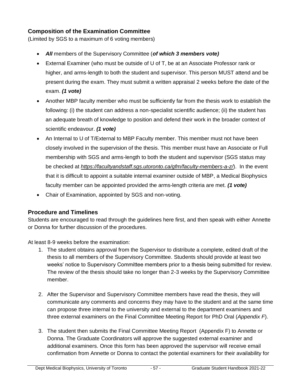# **Composition of the Examination Committee**

(Limited by SGS to a maximum of 6 voting members)

- *All* members of the Supervisory Committee (*of which 3 members vote)*
- External Examiner (who must be outside of U of T, be at an Associate Professor rank or higher, and arms-length to both the student and supervisor. This person MUST attend and be present during the exam. They must submit a written appraisal 2 weeks before the date of the exam. *(1 vote)*
- Another MBP faculty member who must be sufficiently far from the thesis work to establish the following: (i) the student can address a non-specialist scientific audience; (ii) the student has an adequate breath of knowledge to position and defend their work in the broader context of scientific endeavour. *(1 vote)*
- An Internal to U of T/External to MBP Faculty member. This member must not have been closely involved in the supervision of the thesis. This member must have an Associate or Full membership with SGS and arms-length to both the student and supervisor (SGS status may be checked at *<https://facultyandstaff.sgs.utoronto.ca/gfm/faculty-members-a-z/>*). In the event that it is difficult to appoint a suitable internal examiner outside of MBP, a Medical Biophysics faculty member can be appointed provided the arms-length criteria are met. *(1 vote)*
- Chair of Examination, appointed by SGS and non-voting.

## **Procedure and Timelines**

Students are encouraged to read through the guidelines here first, and then speak with either Annette or Donna for further discussion of the procedures.

At least 8-9 weeks before the examination:

- 1. The student obtains approval from the Supervisor to distribute a complete, edited draft of the thesis to all members of the Supervisory Committee. Students should provide at least two weeks' notice to Supervisory Committee members prior to a thesis being submitted for review. The review of the thesis should take no longer than 2-3 weeks by the Supervisory Committee member.
- 2. After the Supervisor and Supervisory Committee members have read the thesis, they will communicate any comments and concerns they may have to the student and at the same time can propose three internal to the university and external to the department examiners and three external examiners on the Final Committee Meeting Report for PhD Oral (*Appendix F*).
- 3. The student then submits the Final Committee Meeting Report (Appendix F) to Annette or Donna. The Graduate Coordinators will approve the suggested external examiner and additional examiners. Once this form has been approved the supervisor will receive email confirmation from Annette or Donna to contact the potential examiners for their availability for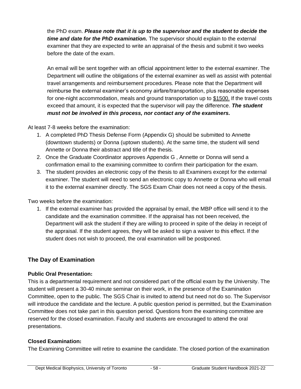the PhD exam. *Please note that it is up to the supervisor and the student to decide the time and date for the PhD examination.* The supervisor should explain to the external examiner that they are expected to write an appraisal of the thesis and submit it two weeks before the date of the exam.

An email will be sent together with an official appointment letter to the external examiner. The Department will outline the obligations of the external examiner as well as assist with potential travel arrangements and reimbursement procedures. Please note that the Department will reimburse the external examiner's economy airfare/transportation, plus reasonable expenses for one-night accommodation, meals and ground transportation up to \$1500. If the travel costs exceed that amount, it is expected that the supervisor will pay the difference. *The student must not be involved in this process, nor contact any of the examiners.*

At least 7-8 weeks before the examination:

- 1. A completed PhD Thesis Defense Form (Appendix G) should be submitted to Annette (downtown students) or Donna (uptown students). At the same time, the student will send Annette or Donna their abstract and title of the thesis.
- 2. Once the Graduate Coordinator approves Appendix G , Annette or Donna will send a confirmation email to the examining committee to confirm their participation for the exam.
- 3. The student provides an electronic copy of the thesis to all Examiners except for the external examiner. The student will need to send an electronic copy to Annette or Donna who will email it to the external examiner directly. The SGS Exam Chair does not need a copy of the thesis.

Two weeks before the examination:

1. If the external examiner has provided the appraisal by email, the MBP office will send it to the candidate and the examination committee. If the appraisal has not been received, the Department will ask the student if they are willing to proceed in spite of the delay in receipt of the appraisal. If the student agrees, they will be asked to sign a waiver to this effect. If the student does not wish to proceed, the oral examination will be postponed.

# **The Day of Examination**

## **Public Oral Presentation:**

This is a departmental requirement and not considered part of the official exam by the University. The student will present a 30-40 minute seminar on their work, in the presence of the Examination Committee, open to the public. The SGS Chair is invited to attend but need not do so. The Supervisor will introduce the candidate and the lecture. A public question period is permitted, but the Examination Committee does not take part in this question period. Questions from the examining committee are reserved for the closed examination. Faculty and students are encouraged to attend the oral presentations.

## **Closed Examination:**

The Examining Committee will retire to examine the candidate. The closed portion of the examination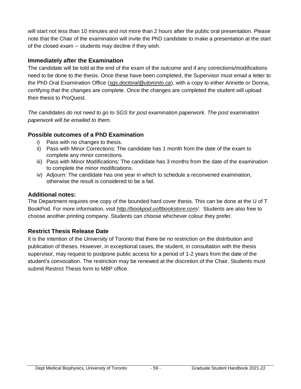will start not less than 10 minutes and not more than 2 hours after the public oral presentation. Please note that the Chair of the examination will invite the PhD candidate to make a presentation at the start of the closed exam -- students may decline if they wish.

## **Immediately after the Examination**

The candidate will be told at the end of the exam of the outcome and if any corrections/modifications need to be done to the thesis. Once these have been completed, the Supervisor must email a letter to the PhD Oral Examination Office (*sgs.doctoral@utoronto.ca*), with a copy to either Annette or Donna, certifying that the changes are complete. Once the changes are completed the student will upload their thesis to ProQuest.

*The candidates do not need to go to SGS for post examination paperwork. The post examination paperwork will be emailed to them.*

## **Possible outcomes of a PhD Examination**

- i) Pass with no changes to thesis.
- ii) Pass with Minor Corrections: The candidate has 1 month from the date of the exam to complete any minor corrections.
- iii) Pass with Minor Modifications: The candidate has 3 months from the date of the examination to complete the minor modifications.
- iv) Adjourn: The candidate has one year in which to schedule a reconvened examination, otherwise the result is considered to be a fail.

## **Additional notes:**

The Department requires one copy of the bounded hard cover thesis. This can be done at the U of T BookPod. For more information, visit *[http://bookpod.uoftbookstore.com](http://bookpod.uoftbookstore.com/)*/. Students are also free to choose another printing company. Students can choose whichever colour they prefer.

# **Restrict Thesis Release Date**

It is the intention of the University of Toronto that there be no restriction on the distribution and publication of theses. However, in exceptional cases, the student, in consultation with the thesis supervisor, may request to postpone public access for a period of 1-2 years from the date of the student's convocation. The restriction may be renewed at the discretion of the Chair. Students must submit Restrict Thesis form to MBP office.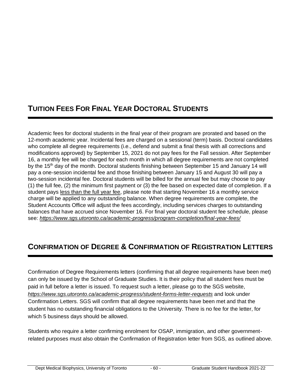# **TUITION FEES FOR FINAL YEAR DOCTORAL STUDENTS**

Academic fees for doctoral students in the final year of their program are prorated and based on the 12-month academic year. Incidental fees are charged on a sessional (term) basis. Doctoral candidates who complete all degree requirements (i.e., defend and submit a final thesis with all corrections and modifications approved) by September 15, 2021 do not pay fees for the Fall session. After September 16, a monthly fee will be charged for each month in which all degree requirements are not completed by the 15<sup>th</sup> day of the month. Doctoral students finishing between September 15 and January 14 will pay a one-session incidental fee and those finishing between January 15 and August 30 will pay a two-session incidental fee. Doctoral students will be billed for the annual fee but may choose to pay (1) the full fee, (2) the minimum first payment or (3) the fee based on expected date of completion. If a student pays less than the full year fee, please note that starting November 16 a monthly service charge will be applied to any outstanding balance. When degree requirements are complete, the Student Accounts Office will adjust the fees accordingly, including services charges to outstanding balances that have accrued since November 16. For final year doctoral student fee schedule, please see: *<https://www.sgs.utoronto.ca/academic-progress/program-completion/final-year-fees/>*

# **CONFIRMATION OF DEGREE & CONFIRMATION OF REGISTRATION LETTERS**

Confirmation of Degree Requirements letters (confirming that all degree requirements have been met) can only be issued by the School of Graduate Studies. It is their policy that all student fees must be paid in full before a letter is issued. To request such a letter, please go to the SGS website, *<https://www.sgs.utoronto.ca/academic-progress/student-forms-letter-requests>* and look under Confirmation Letters. SGS will confirm that all degree requirements have been met and that the student has no outstanding financial obligations to the University. There is no fee for the letter, for which 5 business days should be allowed.

Students who require a letter confirming enrolment for OSAP, immigration, and other governmentrelated purposes must also obtain the Confirmation of Registration letter from SGS, as outlined above.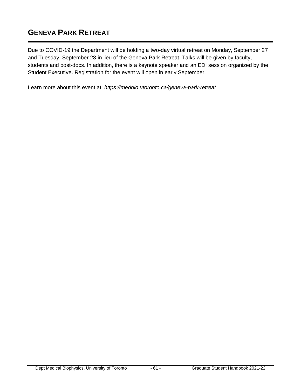# **GENEVA PARK RETREAT**

Due to COVID-19 the Department will be holding a two-day virtual retreat on Monday, September 27 and Tuesday, September 28 in lieu of the Geneva Park Retreat. Talks will be given by faculty, students and post-docs. In addition, there is a keynote speaker and an EDI session organized by the Student Executive. Registration for the event will open in early September.

Learn more about this event at: *<https://medbio.utoronto.ca/geneva-park-retreat>*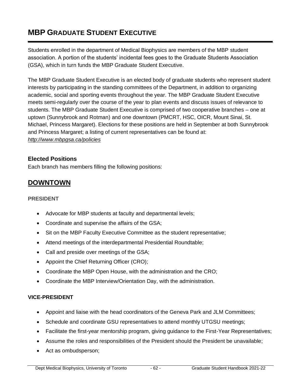# **MBP GRADUATE STUDENT EXECUTIVE**

Students enrolled in the department of Medical Biophysics are members of the MBP student association. A portion of the students' incidental fees goes to the Graduate Students Association (GSA), which in turn funds the MBP Graduate Student Executive.

The MBP Graduate Student Executive is an elected body of graduate students who represent student interests by participating in the standing committees of the Department, in addition to organizing academic, social and sporting events throughout the year. The MBP Graduate Student Executive meets semi-regularly over the course of the year to plan events and discuss issues of relevance to students. The MBP Graduate Student Executive is comprised of two cooperative branches – one at uptown (Sunnybrook and Rotman) and one downtown (PMCRT, HSC, OICR, Mount Sinai, St. Michael, Princess Margaret). Elections for these positions are held in September at both Sunnybrook and Princess Margaret; a listing of current representatives can be found at: *<http://www.mbpgsa.ca/policies>*

#### **Elected Positions**

Each branch has members filling the following positions:

# **DOWNTOWN**

#### **PRESIDENT**

- Advocate for MBP students at faculty and departmental levels;
- Coordinate and supervise the affairs of the GSA;
- Sit on the MBP Faculty Executive Committee as the student representative;
- Attend meetings of the interdepartmental Presidential Roundtable;
- Call and preside over meetings of the GSA;
- Appoint the Chief Returning Officer (CRO);
- Coordinate the MBP Open House, with the administration and the CRO;
- Coordinate the MBP Interview/Orientation Day, with the administration.

#### **VICE-PRESIDENT**

- Appoint and liaise with the head coordinators of the Geneva Park and JLM Committees;
- Schedule and coordinate GSU representatives to attend monthly UTGSU meetings;
- Facilitate the first-year mentorship program, giving guidance to the First-Year Representatives;
- Assume the roles and responsibilities of the President should the President be unavailable:
- Act as ombudsperson;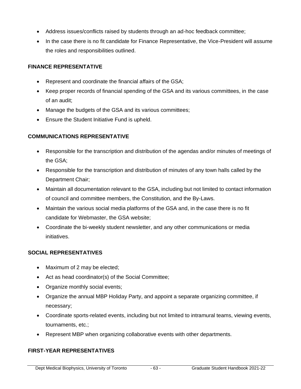- Address issues/conflicts raised by students through an ad-hoc feedback committee;
- In the case there is no fit candidate for Finance Representative, the Vice-President will assume the roles and responsibilities outlined.

#### **FINANCE REPRESENTATIVE**

- Represent and coordinate the financial affairs of the GSA;
- Keep proper records of financial spending of the GSA and its various committees, in the case of an audit;
- Manage the budgets of the GSA and its various committees;
- Ensure the Student Initiative Fund is upheld.

#### **COMMUNICATIONS REPRESENTATIVE**

- Responsible for the transcription and distribution of the agendas and/or minutes of meetings of the GSA;
- Responsible for the transcription and distribution of minutes of any town halls called by the Department Chair;
- Maintain all documentation relevant to the GSA, including but not limited to contact information of council and committee members, the Constitution, and the By-Laws.
- Maintain the various social media platforms of the GSA and, in the case there is no fit candidate for Webmaster, the GSA website;
- Coordinate the bi-weekly student newsletter, and any other communications or media initiatives.

#### **SOCIAL REPRESENTATIVES**

- Maximum of 2 may be elected;
- Act as head coordinator(s) of the Social Committee;
- Organize monthly social events;
- Organize the annual MBP Holiday Party, and appoint a separate organizing committee, if necessary;
- Coordinate sports-related events, including but not limited to intramural teams, viewing events, tournaments, etc.;
- Represent MBP when organizing collaborative events with other departments.

#### **FIRST-YEAR REPRESENTATIVES**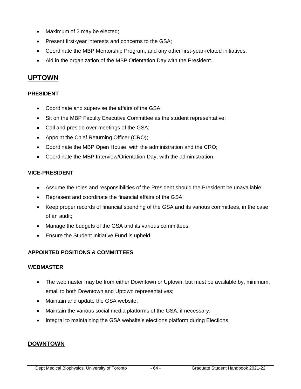- Maximum of 2 may be elected;
- Present first-year interests and concerns to the GSA;
- Coordinate the MBP Mentorship Program, and any other first-year-related initiatives.
- Aid in the organization of the MBP Orientation Day with the President.

# **UPTOWN**

#### **PRESIDENT**

- Coordinate and supervise the affairs of the GSA;
- Sit on the MBP Faculty Executive Committee as the student representative;
- Call and preside over meetings of the GSA;
- Appoint the Chief Returning Officer (CRO);
- Coordinate the MBP Open House, with the administration and the CRO;
- Coordinate the MBP Interview/Orientation Day, with the administration.

#### **VICE-PRESIDENT**

- Assume the roles and responsibilities of the President should the President be unavailable;
- Represent and coordinate the financial affairs of the GSA;
- Keep proper records of financial spending of the GSA and its various committees, in the case of an audit;
- Manage the budgets of the GSA and its various committees;
- Ensure the Student Initiative Fund is upheld.

## **APPOINTED POSITIONS & COMMITTEES**

#### **WEBMASTER**

- The webmaster may be from either Downtown or Uptown, but must be available by, minimum, email to both Downtown and Uptown representatives;
- Maintain and update the GSA website;
- Maintain the various social media platforms of the GSA, if necessary;
- Integral to maintaining the GSA website's elections platform during Elections.

## **DOWNTOWN**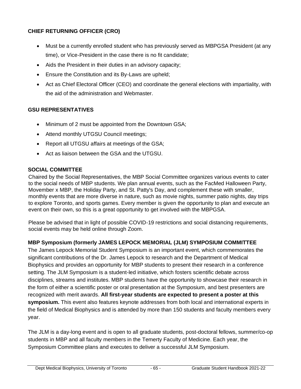## **CHIEF RETURNING OFFICER (CRO)**

- Must be a currently enrolled student who has previously served as MBPGSA President (at any time), or Vice-President in the case there is no fit candidate;
- Aids the President in their duties in an advisory capacity;
- Ensure the Constitution and its By-Laws are upheld;
- Act as Chief Electoral Officer (CEO) and coordinate the general elections with impartiality, with the aid of the administration and Webmaster.

## **GSU REPRESENTATIVES**

- Minimum of 2 must be appointed from the Downtown GSA;
- Attend monthly UTGSU Council meetings;
- Report all UTGSU affairs at meetings of the GSA;
- Act as liaison between the GSA and the UTGSU.

#### **SOCIAL COMMITTEE**

Chaired by the Social Representatives, the MBP Social Committee organizes various events to cater to the social needs of MBP students. We plan annual events, such as the FacMed Halloween Party, Movember x MBP, the Holiday Party, and St. Patty's Day, and complement these with smaller, monthly events that are more diverse in nature, such as movie nights, summer patio nights, day trips to explore Toronto, and sports games. Every member is given the opportunity to plan and execute an event on their own, so this is a great opportunity to get involved with the MBPGSA.

Please be advised that in light of possible COVID-19 restrictions and social distancing requirements, social events may be held online through Zoom.

## **MBP Symposium (formerly JAMES LEPOCK MEMORIAL (JLM) SYMPOSIUM COMMITTEE**

The James Lepock Memorial Student Symposium is an important event, which commemorates the significant contributions of the Dr. James Lepock to research and the Department of Medical Biophysics and provides an opportunity for MBP students to present their research in a conference setting. The JLM Symposium is a student-led initiative, which fosters scientific debate across disciplines, streams and institutes. MBP students have the opportunity to showcase their research in the form of either a scientific poster or oral presentation at the Symposium, and best presenters are recognized with merit awards. **All first-year students are expected to present a poster at this symposium.** This event also features keynote addresses from both local and international experts in the field of Medical Biophysics and is attended by more than 150 students and faculty members every year.

The JLM is a day-long event and is open to all graduate students, post-doctoral fellows, summer/co-op students in MBP and all faculty members in the Temerty Faculty of Medicine. Each year, the Symposium Committee plans and executes to deliver a successful JLM Symposium.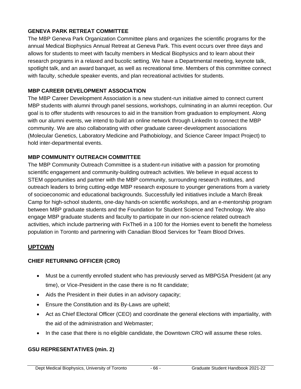#### **GENEVA PARK RETREAT COMMITTEE**

The MBP Geneva Park Organization Committee plans and organizes the scientific programs for the annual Medical Biophysics Annual Retreat at Geneva Park. This event occurs over three days and allows for students to meet with faculty members in Medical Biophysics and to learn about their research programs in a relaxed and bucolic setting. We have a Departmental meeting, keynote talk, spotlight talk, and an award banquet, as well as recreational time. Members of this committee connect with faculty, schedule speaker events, and plan recreational activities for students.

#### **MBP CAREER DEVELOPMENT ASSOCIATION**

The MBP Career Development Association is a new student-run initiative aimed to connect current MBP students with alumni through panel sessions, workshops, culminating in an alumni reception. Our goal is to offer students with resources to aid in the transition from graduation to employment. Along with our alumni events, we intend to build an online network through LinkedIn to connect the MBP community. We are also collaborating with other graduate career-development associations (Molecular Genetics, Laboratory Medicine and Pathobiology, and Science Career Impact Project) to hold inter-departmental events.

#### **MBP COMMUNITY OUTREACH COMMITTEE**

The MBP Community Outreach Committee is a student-run initiative with a passion for promoting scientific engagement and community-building outreach activities. We believe in equal access to STEM opportunities and partner with the MBP community, surrounding research institutes, and outreach leaders to bring cutting-edge MBP research exposure to younger generations from a variety of socioeconomic and educational backgrounds. Successfully led initiatives include a March Break Camp for high-school students, one-day hands-on scientific workshops, and an e-mentorship program between MBP graduate students and the Foundation for Student Science and Technology. We also engage MBP graduate students and faculty to participate in our non-science related outreach activities, which include partnering with FixThe6 in a 100 for the Homies event to benefit the homeless population in Toronto and partnering with Canadian Blood Services for Team Blood Drives.

## **UPTOWN**

## **CHIEF RETURNING OFFICER (CRO)**

- Must be a currently enrolled student who has previously served as MBPGSA President (at any time), or Vice-President in the case there is no fit candidate;
- Aids the President in their duties in an advisory capacity;
- Ensure the Constitution and its By-Laws are upheld;
- Act as Chief Electoral Officer (CEO) and coordinate the general elections with impartiality, with the aid of the administration and Webmaster;
- In the case that there is no eligible candidate, the Downtown CRO will assume these roles.

#### **GSU REPRESENTATIVES (min. 2)**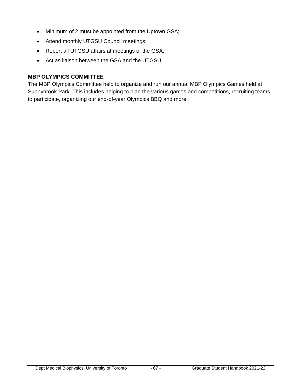- Minimum of 2 must be appointed from the Uptown GSA;
- Attend monthly UTGSU Council meetings;
- Report all UTGSU affairs at meetings of the GSA;
- Act as liaison between the GSA and the UTGSU.

#### **MBP OLYMPICS COMMITTEE**

The MBP Olympics Committee help to organize and run our annual MBP Olympics Games held at Sunnybrook Park. This includes helping to plan the various games and competitions, recruiting teams to participate, organizing our end-of-year Olympics BBQ and more.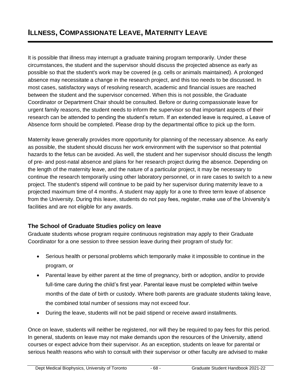It is possible that illness may interrupt a graduate training program temporarily. Under these circumstances, the student and the supervisor should discuss the projected absence as early as possible so that the student's work may be covered (e.g. cells or animals maintained). A prolonged absence may necessitate a change in the research project, and this too needs to be discussed. In most cases, satisfactory ways of resolving research, academic and financial issues are reached between the student and the supervisor concerned. When this is not possible, the Graduate Coordinator or Department Chair should be consulted. Before or during compassionate leave for urgent family reasons, the student needs to inform the supervisor so that important aspects of their research can be attended to pending the student's return. If an extended leave is required, a Leave of Absence form should be completed. Please drop by the departmental office to pick up the form.

Maternity leave generally provides more opportunity for planning of the necessary absence. As early as possible, the student should discuss her work environment with the supervisor so that potential hazards to the fetus can be avoided. As well, the student and her supervisor should discuss the length of pre- and post-natal absence and plans for her research project during the absence. Depending on the length of the maternity leave, and the nature of a particular project, it may be necessary to continue the research temporarily using other laboratory personnel, or in rare cases to switch to a new project. The student's stipend will continue to be paid by her supervisor during maternity leave to a projected maximum time of 4 months. A student may apply for a one to three term leave of absence from the University. During this leave, students do not pay fees, register, make use of the University's facilities and are not eligible for any awards.

# **The School of Graduate Studies policy on leave**

Graduate students whose program require continuous registration may apply to their Graduate Coordinator for a one session to three session leave during their program of study for:

- Serious health or personal problems which temporarily make it impossible to continue in the program, or
- Parental leave by either parent at the time of pregnancy, birth or adoption, and/or to provide full-time care during the child's first year. Parental leave must be completed within twelve months of the date of birth or custody. Where both parents are graduate students taking leave, the combined total number of sessions may not exceed four.
- During the leave, students will not be paid stipend or receive award installments.

Once on leave, students will neither be registered, nor will they be required to pay fees for this period. In general, students on leave may not make demands upon the resources of the University, attend courses or expect advice from their supervisor. As an exception, students on leave for parental or serious health reasons who wish to consult with their supervisor or other faculty are advised to make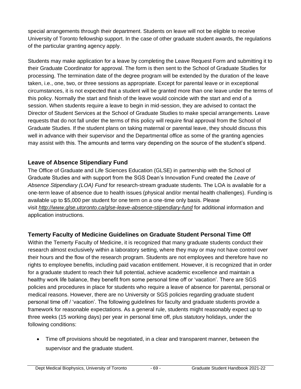special arrangements through their department. Students on leave will not be eligible to receive University of Toronto fellowship support. In the case of other graduate student awards, the regulations of the particular granting agency apply.

Students may make application for a leave by completing the Leave Request Form and submitting it to their Graduate Coordinator for approval. The form is then sent to the School of Graduate Studies for processing. The termination date of the degree program will be extended by the duration of the leave taken, i.e., one, two, or three sessions as appropriate. Except for parental leave or in exceptional circumstances, it is not expected that a student will be granted more than one leave under the terms of this policy. Normally the start and finish of the leave would coincide with the start and end of a session. When students require a leave to begin in mid-session, they are advised to contact the Director of Student Services at the School of Graduate Studies to make special arrangements. Leave requests that do not fall under the terms of this policy will require final approval from the School of Graduate Studies. If the student plans on taking maternal or parental leave, they should discuss this well in advance with their supervisor and the Departmental office as some of the granting agencies may assist with this. The amounts and terms vary depending on the source of the student's stipend.

# **Leave of Absence Stipendiary Fund**

The Office of Graduate and Life Sciences Education (GLSE) in partnership with the School of Graduate Studies and with support from the SGS Dean's Innovation Fund created the *Leave of Absence Stipendiary (LOA) Fund* for research-stream graduate students. The LOA is available for a one-term leave of absence due to health issues (physical and/or mental health challenges). Funding is available up to \$5,000 per student for one term on a one-time only basis. Please visit *<http://www.glse.utoronto.ca/glse-leave-absence-stipendiary-fund>* for additional information and application instructions.

# **Temerty Faculty of Medicine Guidelines on Graduate Student Personal Time Off**

Within the Temerty Faculty of Medicine, it is recognized that many graduate students conduct their research almost exclusively within a laboratory setting, where they may or may not have control over their hours and the flow of the research program. Students are not employees and therefore have no rights to employee benefits, including paid vacation entitlement. However, it is recognized that in order for a graduate student to reach their full potential, achieve academic excellence and maintain a healthy work life balance, they benefit from some personal time off or 'vacation'. There are SGS policies and procedures in place for students who require a leave of absence for parental, personal or medical reasons. However, there are no University or SGS policies regarding graduate student personal time off / 'vacation'. The following guidelines for faculty and graduate students provide a framework for reasonable expectations. As a general rule, students might reasonably expect up to three weeks (15 working days) per year in personal time off, plus statutory holidays, under the following conditions:

• Time off provisions should be negotiated, in a clear and transparent manner, between the supervisor and the graduate student.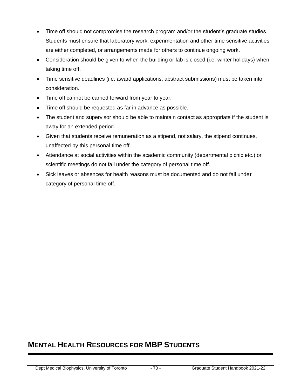- Time off should not compromise the research program and/or the student's graduate studies. Students must ensure that laboratory work, experimentation and other time sensitive activities are either completed, or arrangements made for others to continue ongoing work.
- Consideration should be given to when the building or lab is closed (i.e. winter holidays) when taking time off.
- Time sensitive deadlines (i.e. award applications, abstract submissions) must be taken into consideration.
- Time off cannot be carried forward from year to year.
- Time off should be requested as far in advance as possible.
- The student and supervisor should be able to maintain contact as appropriate if the student is away for an extended period.
- Given that students receive remuneration as a stipend, not salary, the stipend continues, unaffected by this personal time off.
- Attendance at social activities within the academic community (departmental picnic etc.) or scientific meetings do not fall under the category of personal time off.
- Sick leaves or absences for health reasons must be documented and do not fall under category of personal time off.

# **MENTAL HEALTH RESOURCES FOR MBP STUDENTS**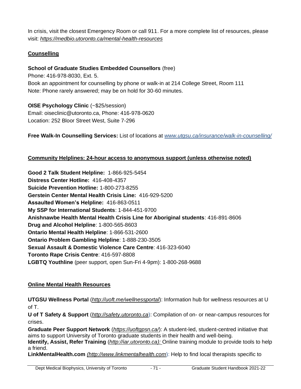In crisis, visit the closest Emergency Room or call 911. For a more complete list of resources, please visit: *<https://medbio.utoronto.ca/mental-health-resources>*

## **Counselling**

#### **School of Graduate Studies Embedded Counsellors** (free)

Phone: 416-978-8030, Ext. 5. Book an appointment for counselling by phone or walk-in at 214 College Street, Room 111 Note: Phone rarely answered; may be on hold for 30-60 minutes.

**OISE Psychology Clinic** (~\$25/session) Email: oiseclinic@utoronto.ca, Phone: 416-978-0620 Location: 252 Bloor Street West, Suite 7-296

**Free Walk-In Counselling Services:** List of locations at *[www.utgsu.ca/insurance/walk-in-counselling/](http://www.utgsu.ca/insurance/walk-in-counselling/)*

#### **Community Helplines: 24-hour access to anonymous support (unless otherwise noted)**

**Good 2 Talk Student Helpline:** 1-866-925-5454 **Distress Center Hotline:** 416-408-4357 **Suicide Prevention Hotline:** 1-800-273-8255 **Gerstein Center Mental Health Crisis Line:** 416-929-5200 **Assaulted Women's Helpline:** 416-863-0511 **My SSP for International Students**: 1-844-451-9700 **Anishnawbe Health Mental Health Crisis Line for Aboriginal students**: 416-891-8606 **Drug and Alcohol Helpline**: 1-800-565-8603 **Ontario Mental Health Helpline**: 1-866-531-2600 **Ontario Problem Gambling Helpline**: 1-888-230-3505 **Sexual Assault & Domestic Violence Care Centre**: 416-323-6040 **Toronto Rape Crisis Centre**: 416-597-8808 **LGBTQ Youthline** (peer support, open Sun-Fri 4-9pm): 1-800-268-9688

#### **Online Mental Health Resources**

**UTGSU Wellness Portal** (*<http://uoft.me/wellnessportal>*): Information hub for wellness resources at U of T.

**U of T Safety & Support** (*[http://safety.utoronto.ca](http://safety.utoronto.ca/)*): Compilation of on- or near-campus resources for crises.

**Graduate Peer Support Network** (*<https://uoftgpsn.ca/>*): A student-led, student-centred initiative that aims to support University of Toronto graduate students in their health and well-being. **Identify, Assist, Refer Training** (*[http://iar.utoronto.ca\)](http://iar.utoronto.ca/):* Online training module to provide tools to help a friend.

**LinkMentalHealth.com** *[\(http://www.linkmentalhealth.com](http://www.linkmentalhealth.com/)*): Help to find local therapists specific to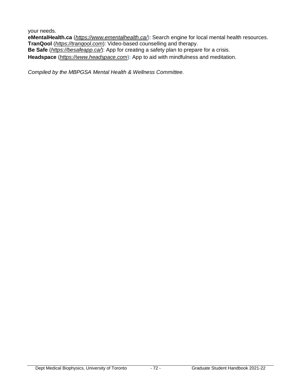your needs.

**eMentalHealth.ca** (*<https://www.ementalhealth.ca/>*): Search engine for local mental health resources. **TranQool** (*[https://tranqool.com](https://tranqool.com/)*): Video-based counselling and therapy.

**Be Safe** (*<https://besafeapp.ca/>*): App for creating a safety plan to prepare for a crisis.

**Headspace** (*[https://www.headspace.com](https://www.headspace.com/)*): App to aid with mindfulness and meditation.

*Compiled by the MBPGSA Mental Health & Wellness Committee.*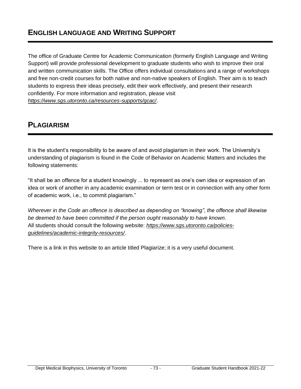The office of Graduate Centre for Academic Communication (formerly English Language and Writing Support) will provide professional development to graduate students who wish to improve their oral and written communication skills. The Office offers individual consultations and a range of workshops and free non-credit courses for both native and non-native speakers of English. Their aim is to teach students to express their ideas precisely, edit their work effectively, and present their research confidently. For more information and registration, please visit *<https://www.sgs.utoronto.ca/resources-supports/gcac/>*.

## **PLAGIARISM**

It is the student's responsibility to be aware of and avoid plagiarism in their work. The University's understanding of plagiarism is found in the Code of Behavior on Academic Matters and includes the following statements:

"It shall be an offence for a student knowingly ... to represent as one's own idea or expression of an idea or work of another in any academic examination or term test or in connection with any other form of academic work, i.e., to commit plagiarism."

*Wherever in the Code an offence is described as depending on "knowing", the offence shall likewise be deemed to have been committed if the person ought reasonably to have known.* All students should consult the following website: *[https://www.sgs.utoronto.ca/policies](https://www.sgs.utoronto.ca/policies-guidelines/academic-integrity-resources/)[guidelines/academic-integrity-resources/](https://www.sgs.utoronto.ca/policies-guidelines/academic-integrity-resources/)*.

There is a link in this website to an article titled Plagiarize; it is a very useful document.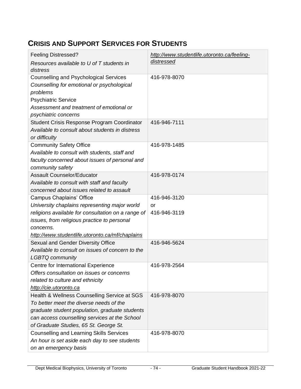## **CRISIS AND SUPPORT SERVICES FOR STUDENTS**

| <b>Feeling Distressed?</b>                                                                                                                                                                                                           | http://www.studentlife.utoronto.ca/feeling- |
|--------------------------------------------------------------------------------------------------------------------------------------------------------------------------------------------------------------------------------------|---------------------------------------------|
| Resources available to U of T students in<br>distress                                                                                                                                                                                | distressed                                  |
| <b>Counselling and Psychological Services</b><br>Counselling for emotional or psychological<br>problems<br><b>Psychiatric Service</b><br>Assessment and treatment of emotional or<br>psychiatric concerns                            | 416-978-8070                                |
| Student Crisis Response Program Coordinator<br>Available to consult about students in distress<br>or difficulty                                                                                                                      | 416-946-7111                                |
| <b>Community Safety Office</b><br>Available to consult with students, staff and<br>faculty concerned about issues of personal and<br>community safety                                                                                | 416-978-1485                                |
| <b>Assault Counselor/Educator</b><br>Available to consult with staff and faculty<br>concerned about issues related to assault                                                                                                        | 416-978-0174                                |
| <b>Campus Chaplains' Office</b>                                                                                                                                                                                                      | 416-946-3120                                |
| University chaplains representing major world                                                                                                                                                                                        | or                                          |
| religions available for consultation on a range of                                                                                                                                                                                   | 416-946-3119                                |
| issues, from religious practice to personal                                                                                                                                                                                          |                                             |
| concerns.                                                                                                                                                                                                                            |                                             |
| http://www.studentlife.utoronto.ca/mf/chaplains                                                                                                                                                                                      |                                             |
| Sexual and Gender Diversity Office<br>Available to consult on issues of concern to the<br><b>LGBTQ community</b>                                                                                                                     | 416-946-5624                                |
| Centre for International Experience<br>Offers consultation on issues or concerns<br>related to culture and ethnicity<br>http://cie.utoronto.ca                                                                                       | 416-978-2564                                |
| Health & Wellness Counselling Service at SGS<br>To better meet the diverse needs of the<br>graduate student population, graduate students<br>can access counselling services at the School<br>of Graduate Studies, 65 St. George St. | 416-978-8070                                |
| <b>Counselling and Learning Skills Services</b><br>An hour is set aside each day to see students<br>on an emergency basis                                                                                                            | 416-978-8070                                |